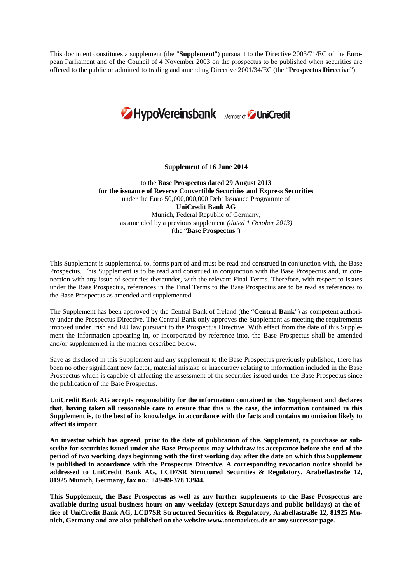This document constitutes a supplement (the "**Supplement**") pursuant to the Directive 2003/71/EC of the European Parliament and of the Council of 4 November 2003 on the prospectus to be published when securities are offered to the public or admitted to trading and amending Directive 2001/34/EC (the "**Prospectus Directive**").



#### **Supplement of 16 June 2014**

to the **Base Prospectus dated 29 August 2013 for the issuance of Reverse Convertible Securities and Express Securities** under the Euro 50,000,000,000 Debt Issuance Programme of **UniCredit Bank AG** Munich, Federal Republic of Germany, as amended by a previous supplement *(dated 1 October 2013)* (the "**Base Prospectus**")

This Supplement is supplemental to, forms part of and must be read and construed in conjunction with, the Base Prospectus. This Supplement is to be read and construed in conjunction with the Base Prospectus and, in connection with any issue of securities thereunder, with the relevant Final Terms. Therefore, with respect to issues under the Base Prospectus, references in the Final Terms to the Base Prospectus are to be read as references to the Base Prospectus as amended and supplemented.

The Supplement has been approved by the Central Bank of Ireland (the "**Central Bank**") as competent authority under the Prospectus Directive. The Central Bank only approves the Supplement as meeting the requirements imposed under Irish and EU law pursuant to the Prospectus Directive. With effect from the date of this Supplement the information appearing in, or incorporated by reference into, the Base Prospectus shall be amended and/or supplemented in the manner described below.

Save as disclosed in this Supplement and any supplement to the Base Prospectus previously published, there has been no other significant new factor, material mistake or inaccuracy relating to information included in the Base Prospectus which is capable of affecting the assessment of the securities issued under the Base Prospectus since the publication of the Base Prospectus.

**UniCredit Bank AG accepts responsibility for the information contained in this Supplement and declares that, having taken all reasonable care to ensure that this is the case, the information contained in this Supplement is, to the best of its knowledge, in accordance with the facts and contains no omission likely to affect its import.**

**An investor which has agreed, prior to the date of publication of this Supplement, to purchase or subscribe for securities issued under the Base Prospectus may withdraw its acceptance before the end of the period of two working days beginning with the first working day after the date on which this Supplement is published in accordance with the Prospectus Directive. A corresponding revocation notice should be addressed to UniCredit Bank AG, LCD7SR Structured Securities & Regulatory, Arabellastraße 12, 81925 Munich, Germany, fax no.: +49-89-378 13944.**

**This Supplement, the Base Prospectus as well as any further supplements to the Base Prospectus are available during usual business hours on any weekday (except Saturdays and public holidays) at the office of UniCredit Bank AG, LCD7SR Structured Securities & Regulatory, Arabellastraße 12, 81925 Munich, Germany and are also published on the website www.onemarkets.de or any successor page.**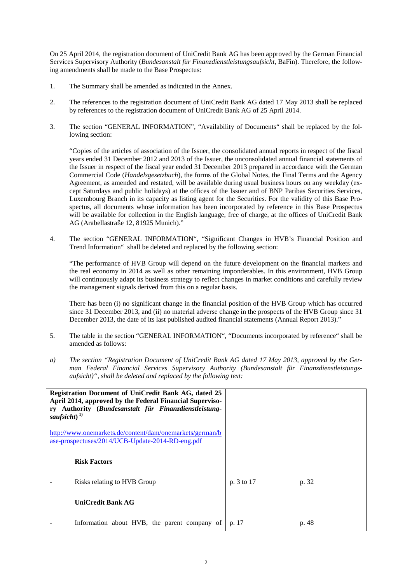On 25 April 2014, the registration document of UniCredit Bank AG has been approved by the German Financial Services Supervisory Authority (*Bundesanstalt für Finanzdienstleistungsaufsicht*, BaFin). Therefore, the following amendments shall be made to the Base Prospectus:

- 1. The Summary shall be amended as indicated in the Annex.
- 2. The references to the registration document of UniCredit Bank AG dated 17 May 2013 shall be replaced by references to the registration document of UniCredit Bank AG of 25 April 2014.
- 3. The section "GENERAL INFORMATION", "Availability of Documents" shall be replaced by the following section:

"Copies of the articles of association of the Issuer, the consolidated annual reports in respect of the fiscal years ended 31 December 2012 and 2013 of the Issuer, the unconsolidated annual financial statements of the Issuer in respect of the fiscal year ended 31 December 2013 prepared in accordance with the German Commercial Code (*Handelsgesetzbuch*), the forms of the Global Notes, the Final Terms and the Agency Agreement, as amended and restated, will be available during usual business hours on any weekday (except Saturdays and public holidays) at the offices of the Issuer and of BNP Paribas Securities Services, Luxembourg Branch in its capacity as listing agent for the Securities. For the validity of this Base Prospectus, all documents whose information has been incorporated by reference in this Base Prospectus will be available for collection in the English language, free of charge, at the offices of UniCredit Bank AG (Arabellastraße 12, 81925 Munich)."

4. The section "GENERAL INFORMATION", "Significant Changes in HVB's Financial Position and Trend Information" shall be deleted and replaced by the following section:

"The performance of HVB Group will depend on the future development on the financial markets and the real economy in 2014 as well as other remaining imponderables. In this environment, HVB Group will continuously adapt its business strategy to reflect changes in market conditions and carefully review the management signals derived from this on a regular basis.

There has been (i) no significant change in the financial position of the HVB Group which has occurred since 31 December 2013, and (ii) no material adverse change in the prospects of the HVB Group since 31 December 2013, the date of its last published audited financial statements (Annual Report 2013)."

- 5. The table in the section "GENERAL INFORMATION", "Documents incorporated by reference" shall be amended as follows:
- *a) The section "Registration Document of UniCredit Bank AG dated 17 May 2013, approved by the German Federal Financial Services Supervisory Authority (Bundesanstalt für Finanzdienstleistungsaufsicht)", shall be deleted and replaced by the following text:*

| <b>Registration Document of UniCredit Bank AG, dated 25</b><br>April 2014, approved by the Federal Financial Superviso-<br>Authority (Bundesanstalt für Finanzdienstleistung-<br>rv<br>saufsicht $)^{1)}$ |            |       |
|-----------------------------------------------------------------------------------------------------------------------------------------------------------------------------------------------------------|------------|-------|
| http://www.onemarkets.de/content/dam/onemarkets/german/b<br>ase-prospectuses/2014/UCB-Update-2014-RD-eng.pdf                                                                                              |            |       |
| <b>Risk Factors</b>                                                                                                                                                                                       |            |       |
| Risks relating to HVB Group                                                                                                                                                                               | p. 3 to 17 | p. 32 |
| <b>UniCredit Bank AG</b>                                                                                                                                                                                  |            |       |
| Information about HVB, the parent company of                                                                                                                                                              | p. 17      | p. 48 |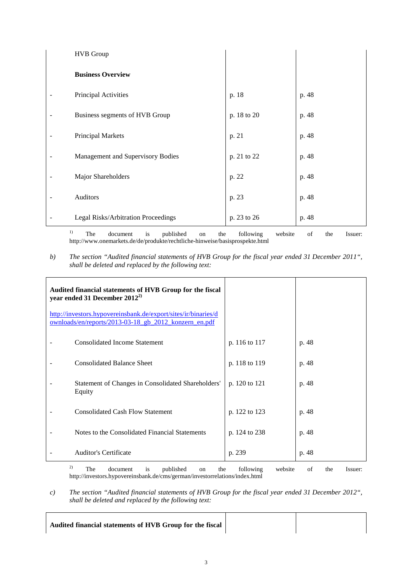| <b>HVB</b> Group                    |             |       |
|-------------------------------------|-------------|-------|
| <b>Business Overview</b>            |             |       |
| Principal Activities                | p. 18       | p. 48 |
| Business segments of HVB Group      | p. 18 to 20 | p. 48 |
| <b>Principal Markets</b>            | p. 21       | p. 48 |
| Management and Supervisory Bodies   | p. 21 to 22 | p. 48 |
| Major Shareholders                  | p. 22       | p. 48 |
| Auditors                            | p. 23       | p. 48 |
| Legal Risks/Arbitration Proceedings | p. 23 to 26 | p. 48 |

<sup>1)</sup> The document is published on the following website of the Issuer: http://www.onemarkets.de/de/produkte/rechtliche-hinweise/basisprospekte.html

*b) The section "Audited financial statements of HVB Group for the fiscal year ended 31 December 2011", shall be deleted and replaced by the following text:*

| Audited financial statements of HVB Group for the fiscal<br>year ended 31 December $2012^{2}$                           |               |       |
|-------------------------------------------------------------------------------------------------------------------------|---------------|-------|
| http://investors.hypovereinsbank.de/export/sites/ir/binaries/d<br>ownloads/en/reports/2013-03-18_gb_2012_konzern_en.pdf |               |       |
| <b>Consolidated Income Statement</b>                                                                                    | p. 116 to 117 | p. 48 |
| <b>Consolidated Balance Sheet</b>                                                                                       | p. 118 to 119 | p. 48 |
| Statement of Changes in Consolidated Shareholders'<br>Equity                                                            | p. 120 to 121 | p. 48 |
| <b>Consolidated Cash Flow Statement</b>                                                                                 | p. 122 to 123 | p. 48 |
| Notes to the Consolidated Financial Statements                                                                          | p. 124 to 238 | p. 48 |
| <b>Auditor's Certificate</b>                                                                                            | p. 239        | p. 48 |
| 2)<br>$-1$ $-1$ $-1$ $-1$ $-1$<br>$T = 1$ . The set of $T = 1$ is the set of $T = 1$                                    | $c_{11}$ .    |       |

<sup>2)</sup> The document is published on the following website of the Issuer: http://investors.hypovereinsbank.de/cms/german/investorrelations/index.html

*c) The section "Audited financial statements of HVB Group for the fiscal year ended 31 December 2012", shall be deleted and replaced by the following text:*

**Audited financial statements of HVB Group for the fiscal**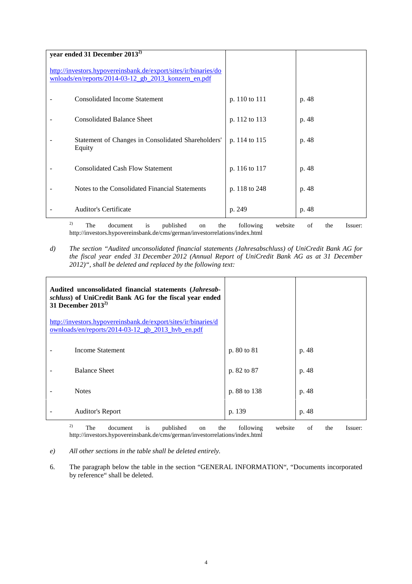| year ended 31 December $2013^{2}$                                                                                       |                      |                      |  |  |  |  |
|-------------------------------------------------------------------------------------------------------------------------|----------------------|----------------------|--|--|--|--|
| http://investors.hypovereinsbank.de/export/sites/ir/binaries/do<br>wnloads/en/reports/2014-03-12 gb 2013 konzern en.pdf |                      |                      |  |  |  |  |
| <b>Consolidated Income Statement</b>                                                                                    | p. 110 to 111        | p. 48                |  |  |  |  |
| <b>Consolidated Balance Sheet</b>                                                                                       | p. 112 to 113        | p. 48                |  |  |  |  |
| Statement of Changes in Consolidated Shareholders'<br>Equity                                                            | p. 114 to 115        | p. 48                |  |  |  |  |
| <b>Consolidated Cash Flow Statement</b>                                                                                 | p. 116 to 117        | p. 48                |  |  |  |  |
| Notes to the Consolidated Financial Statements                                                                          | p. 118 to 248        | p. 48                |  |  |  |  |
| <b>Auditor's Certificate</b>                                                                                            | p. 249               | p. 48                |  |  |  |  |
| 2)<br>Tha<br>document is published<br>th≙<br>$\cap$                                                                     | following<br>website | th≙<br>∩f<br>Iccuar: |  |  |  |  |

<sup>2)</sup> The document is published on the following website of the Issuer: <sup>2)</sup> The document is published on the following http://investors.hypovereinsbank.de/cms/german/investorrelations/index.html

*d) The section "Audited unconsolidated financial statements (Jahresabschluss) of UniCredit Bank AG for the fiscal year ended 31 December 2012 (Annual Report of UniCredit Bank AG as at 31 December 2012)", shall be deleted and replaced by the following text:*

| Audited unconsolidated financial statements (Jahresab-<br>schluss) of UniCredit Bank AG for the fiscal year ended<br>31 December $2013^{2}$ |              |       |
|---------------------------------------------------------------------------------------------------------------------------------------------|--------------|-------|
| http://investors.hypovereinsbank.de/export/sites/ir/binaries/d<br>ownloads/en/reports/2014-03-12 gb 2013 hvb en.pdf                         |              |       |
| Income Statement                                                                                                                            | p. 80 to 81  | p. 48 |
| <b>Balance Sheet</b>                                                                                                                        | p. 82 to 87  | p. 48 |
| <b>Notes</b>                                                                                                                                | p. 88 to 138 | p. 48 |
| Auditor's Report                                                                                                                            | p. 139       | p. 48 |

<sup>2)</sup> The document is published on the following website of the Issuer: http://investors.hypovereinsbank.de/cms/german/investorrelations/index.html

- *e) All other sections in the table shall be deleted entirely.*
- 6. The paragraph below the table in the section "GENERAL INFORMATION", "Documents incorporated by reference" shall be deleted.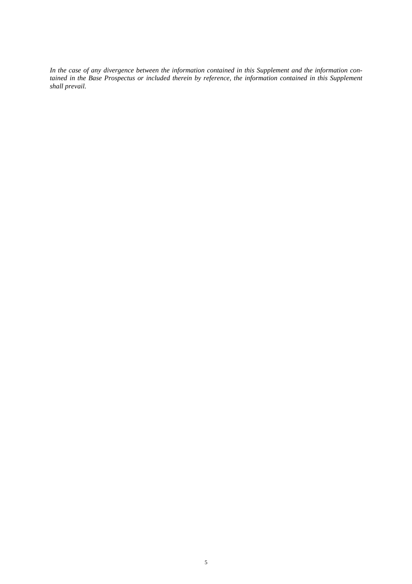*In the case of any divergence between the information contained in this Supplement and the information contained in the Base Prospectus or included therein by reference, the information contained in this Supplement shall prevail.*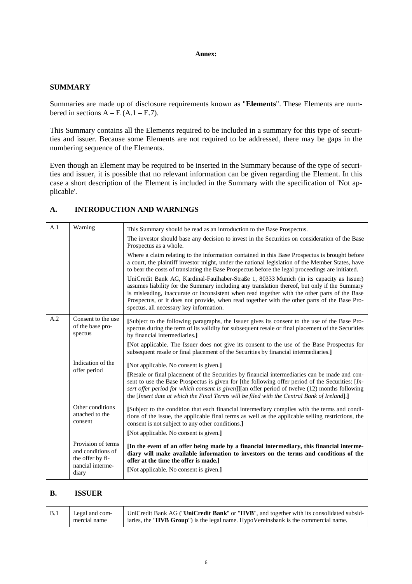### **Annex:**

## **SUMMARY**

Summaries are made up of disclosure requirements known as "**Elements**". These Elements are numbered in sections  $A - E(A.1 - E.7)$ .

This Summary contains all the Elements required to be included in a summary for this type of securities and issuer. Because some Elements are not required to be addressed, there may be gaps in the numbering sequence of the Elements.

Even though an Element may be required to be inserted in the Summary because of the type of securities and issuer, it is possible that no relevant information can be given regarding the Element. In this case a short description of the Element is included in the Summary with the specification of 'Not applicable'.

## **A. INTRODUCTION AND WARNINGS**

| A.1 |                                                                                          |                                                                                                                                                                                                                                                                                                                                                                                                                                      |
|-----|------------------------------------------------------------------------------------------|--------------------------------------------------------------------------------------------------------------------------------------------------------------------------------------------------------------------------------------------------------------------------------------------------------------------------------------------------------------------------------------------------------------------------------------|
|     | Warning                                                                                  | This Summary should be read as an introduction to the Base Prospectus.                                                                                                                                                                                                                                                                                                                                                               |
|     |                                                                                          | The investor should base any decision to invest in the Securities on consideration of the Base<br>Prospectus as a whole.                                                                                                                                                                                                                                                                                                             |
|     |                                                                                          | Where a claim relating to the information contained in this Base Prospectus is brought before<br>a court, the plaintiff investor might, under the national legislation of the Member States, have<br>to bear the costs of translating the Base Prospectus before the legal proceedings are initiated.                                                                                                                                |
|     |                                                                                          | UniCredit Bank AG, Kardinal-Faulhaber-Straße 1, 80333 Munich (in its capacity as Issuer)<br>assumes liability for the Summary including any translation thereof, but only if the Summary<br>is misleading, inaccurate or inconsistent when read together with the other parts of the Base<br>Prospectus, or it does not provide, when read together with the other parts of the Base Pro-<br>spectus, all necessary key information. |
| A.2 | Consent to the use<br>of the base pro-<br>spectus                                        | [Subject to the following paragraphs, the Issuer gives its consent to the use of the Base Pro-<br>spectus during the term of its validity for subsequent resale or final placement of the Securities<br>by financial intermediaries.]                                                                                                                                                                                                |
|     |                                                                                          | [Not applicable. The Issuer does not give its consent to the use of the Base Prospectus for<br>subsequent resale or final placement of the Securities by financial intermediaries.]                                                                                                                                                                                                                                                  |
|     | Indication of the                                                                        | [Not applicable. No consent is given.]                                                                                                                                                                                                                                                                                                                                                                                               |
|     | offer period                                                                             | [Resale or final placement of the Securities by financial intermediaries can be made and con-<br>sent to use the Base Prospectus is given for [the following offer period of the Securities: [In-<br>sert offer period for which consent is given]][an offer period of twelve (12) months following<br>the [Insert date at which the Final Terms will be filed with the Central Bank of Ireland].]                                   |
|     | Other conditions<br>attached to the<br>consent                                           | [Subject to the condition that each financial intermediary complies with the terms and condi-<br>tions of the issue, the applicable final terms as well as the applicable selling restrictions, the<br>consent is not subject to any other conditions.                                                                                                                                                                               |
|     |                                                                                          | [Not applicable. No consent is given.]                                                                                                                                                                                                                                                                                                                                                                                               |
|     | Provision of terms<br>and conditions of<br>the offer by fi-<br>nancial interme-<br>diary | [In the event of an offer being made by a financial intermediary, this financial interme-<br>diary will make available information to investors on the terms and conditions of the<br>offer at the time the offer is made.<br>[Not applicable. No consent is given.]                                                                                                                                                                 |
|     |                                                                                          |                                                                                                                                                                                                                                                                                                                                                                                                                                      |

## **B. ISSUER**

| <b>B.1</b> | Legal and com- | UniCredit Bank AG ("UniCredit Bank" or "HVB", and together with its consolidated subsid-     |
|------------|----------------|----------------------------------------------------------------------------------------------|
|            | mercial name   | iaries, the " <b>HVB Group</b> ") is the legal name. HypoVereinsbank is the commercial name. |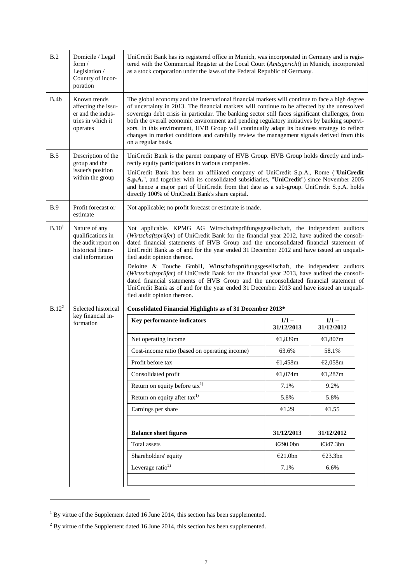| B.2               | Domicile / Legal<br>form $/$<br>Legislation /<br>Country of incor-<br>poration                     | UniCredit Bank has its registered office in Munich, was incorporated in Germany and is regis-<br>tered with the Commercial Register at the Local Court (Amtsgericht) in Munich, incorporated<br>as a stock corporation under the laws of the Federal Republic of Germany.                                                                                                                                                                                                                                                                                                                                                                                                                                                                                                                                      |                       |                       |  |  |
|-------------------|----------------------------------------------------------------------------------------------------|----------------------------------------------------------------------------------------------------------------------------------------------------------------------------------------------------------------------------------------------------------------------------------------------------------------------------------------------------------------------------------------------------------------------------------------------------------------------------------------------------------------------------------------------------------------------------------------------------------------------------------------------------------------------------------------------------------------------------------------------------------------------------------------------------------------|-----------------------|-----------------------|--|--|
| B.4b              | Known trends<br>affecting the issu-<br>er and the indus-<br>tries in which it<br>operates          | The global economy and the international financial markets will continue to face a high degree<br>of uncertainty in 2013. The financial markets will continue to be affected by the unresolved<br>sovereign debt crisis in particular. The banking sector still faces significant challenges, from<br>both the overall economic environment and pending regulatory initiatives by banking supervi-<br>sors. In this environment, HVB Group will continually adapt its business strategy to reflect<br>changes in market conditions and carefully review the management signals derived from this<br>on a regular basis.                                                                                                                                                                                        |                       |                       |  |  |
| B.5               | Description of the<br>group and the<br>issuer's position<br>within the group                       | UniCredit Bank is the parent company of HVB Group. HVB Group holds directly and indi-<br>rectly equity participations in various companies.<br>UniCredit Bank has been an affiliated company of UniCredit S.p.A., Rome ("UniCredit<br>S.p.A.", and together with its consolidated subsidiaries, "UniCredit") since November 2005<br>and hence a major part of UniCredit from that date as a sub-group. UniCredit S.p.A. holds<br>directly 100% of UniCredit Bank's share capital.                                                                                                                                                                                                                                                                                                                              |                       |                       |  |  |
| B.9               | Profit forecast or<br>estimate                                                                     | Not applicable; no profit forecast or estimate is made.                                                                                                                                                                                                                                                                                                                                                                                                                                                                                                                                                                                                                                                                                                                                                        |                       |                       |  |  |
| B.10 <sup>1</sup> | Nature of any<br>qualifications in<br>the audit report on<br>historical finan-<br>cial information | Not applicable. KPMG AG Wirtschaftsprüfungsgesellschaft, the independent auditors<br>(Wirtschaftsprüfer) of UniCredit Bank for the financial year 2012, have audited the consoli-<br>dated financial statements of HVB Group and the unconsolidated financial statement of<br>UniCredit Bank as of and for the year ended 31 December 2012 and have issued an unquali-<br>fied audit opinion thereon.<br>Deloitte & Touche GmbH, Wirtschaftsprüfungsgesellschaft, the independent auditors<br>(Wirtschaftsprüfer) of UniCredit Bank for the financial year 2013, have audited the consoli-<br>dated financial statements of HVB Group and the unconsolidated financial statement of<br>UniCredit Bank as of and for the year ended 31 December 2013 and have issued an unquali-<br>fied audit opinion thereon. |                       |                       |  |  |
| $B.12^2$          | Selected historical                                                                                | Consolidated Financial Highlights as of 31 December 2013*                                                                                                                                                                                                                                                                                                                                                                                                                                                                                                                                                                                                                                                                                                                                                      |                       |                       |  |  |
|                   | key financial in-<br>formation                                                                     | Key performance indicators                                                                                                                                                                                                                                                                                                                                                                                                                                                                                                                                                                                                                                                                                                                                                                                     | $1/1 -$<br>31/12/2013 | $1/1 -$<br>31/12/2012 |  |  |
|                   |                                                                                                    | Net operating income                                                                                                                                                                                                                                                                                                                                                                                                                                                                                                                                                                                                                                                                                                                                                                                           | €1,839m               | €1,807m               |  |  |
|                   |                                                                                                    | Cost-income ratio (based on operating income)                                                                                                                                                                                                                                                                                                                                                                                                                                                                                                                                                                                                                                                                                                                                                                  | 63.6%                 | 58.1%                 |  |  |
|                   |                                                                                                    | Profit before tax                                                                                                                                                                                                                                                                                                                                                                                                                                                                                                                                                                                                                                                                                                                                                                                              | €1,458m               | €2,058m               |  |  |
|                   |                                                                                                    | Consolidated profit                                                                                                                                                                                                                                                                                                                                                                                                                                                                                                                                                                                                                                                                                                                                                                                            | €1,074m               | €1,287m               |  |  |
|                   |                                                                                                    | Return on equity before $\text{tax}^{1}$<br>7.1%<br>9.2%                                                                                                                                                                                                                                                                                                                                                                                                                                                                                                                                                                                                                                                                                                                                                       |                       |                       |  |  |
|                   |                                                                                                    | Return on equity after $\text{tax}^{1}$<br>5.8%<br>5.8%                                                                                                                                                                                                                                                                                                                                                                                                                                                                                                                                                                                                                                                                                                                                                        |                       |                       |  |  |
|                   |                                                                                                    | Earnings per share<br>€1.29<br>€1.55                                                                                                                                                                                                                                                                                                                                                                                                                                                                                                                                                                                                                                                                                                                                                                           |                       |                       |  |  |
|                   |                                                                                                    | <b>Balance sheet figures</b><br>31/12/2013<br>31/12/2012                                                                                                                                                                                                                                                                                                                                                                                                                                                                                                                                                                                                                                                                                                                                                       |                       |                       |  |  |
|                   |                                                                                                    | Total assets                                                                                                                                                                                                                                                                                                                                                                                                                                                                                                                                                                                                                                                                                                                                                                                                   | €290.0bn              | €347.3bn              |  |  |
|                   |                                                                                                    | Shareholders' equity                                                                                                                                                                                                                                                                                                                                                                                                                                                                                                                                                                                                                                                                                                                                                                                           | €21.0bn               | €23.3bn               |  |  |
|                   |                                                                                                    |                                                                                                                                                                                                                                                                                                                                                                                                                                                                                                                                                                                                                                                                                                                                                                                                                |                       |                       |  |  |
|                   |                                                                                                    | Leverage ratio <sup>2)</sup>                                                                                                                                                                                                                                                                                                                                                                                                                                                                                                                                                                                                                                                                                                                                                                                   | 7.1%                  | 6.6%                  |  |  |

<span id="page-6-0"></span><sup>&</sup>lt;sup>1</sup> By virtue of the Supplement dated 16 June 2014, this section has been supplemented.

<span id="page-6-1"></span> $2$  By virtue of the Supplement dated 16 June 2014, this section has been supplemented.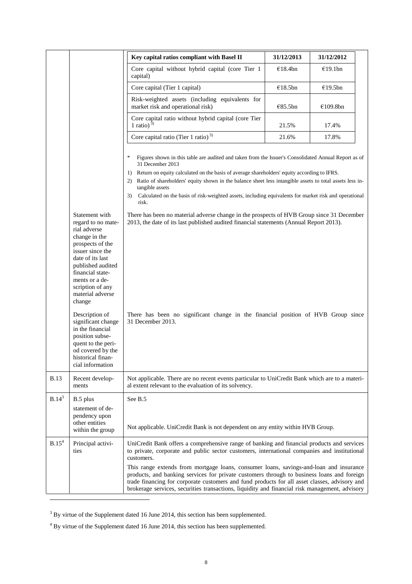|                   |                                                                                                                                                                                                                                                | Key capital ratios compliant with Basel II                                                                                                                                                                                                                                                                                                                                              | 31/12/2013 | 31/12/2012 |  |
|-------------------|------------------------------------------------------------------------------------------------------------------------------------------------------------------------------------------------------------------------------------------------|-----------------------------------------------------------------------------------------------------------------------------------------------------------------------------------------------------------------------------------------------------------------------------------------------------------------------------------------------------------------------------------------|------------|------------|--|
|                   |                                                                                                                                                                                                                                                | Core capital without hybrid capital (core Tier 1<br>capital)                                                                                                                                                                                                                                                                                                                            | €18.4bn    | €19.1bn    |  |
|                   |                                                                                                                                                                                                                                                | Core capital (Tier 1 capital)                                                                                                                                                                                                                                                                                                                                                           | €18.5bn    | €19.5bn    |  |
|                   |                                                                                                                                                                                                                                                | Risk-weighted assets (including equivalents for<br>market risk and operational risk)                                                                                                                                                                                                                                                                                                    | €85.5bn    | €109.8bn   |  |
|                   |                                                                                                                                                                                                                                                | Core capital ratio without hybrid capital (core Tier<br>1 ratio) $^{3)}$                                                                                                                                                                                                                                                                                                                | 21.5%      | 17.4%      |  |
|                   |                                                                                                                                                                                                                                                | Core capital ratio (Tier 1 ratio) $^{3)}$                                                                                                                                                                                                                                                                                                                                               | 21.6%      | 17.8%      |  |
|                   |                                                                                                                                                                                                                                                | $\ast$<br>Figures shown in this table are audited and taken from the Issuer's Consolidated Annual Report as of<br>31 December 2013<br>Return on equity calculated on the basis of average shareholders' equity according to IFRS.<br>1)<br>Ratio of shareholders' equity shown in the balance sheet less intangible assets to total assets less in-<br>2)<br>tangible assets            |            |            |  |
|                   |                                                                                                                                                                                                                                                | Calculated on the basis of risk-weighted assets, including equivalents for market risk and operational<br>3)<br>risk.                                                                                                                                                                                                                                                                   |            |            |  |
|                   | Statement with<br>regard to no mate-<br>rial adverse<br>change in the<br>prospects of the<br>issuer since the<br>date of its last<br>published audited<br>financial state-<br>ments or a de-<br>scription of any<br>material adverse<br>change | There has been no material adverse change in the prospects of HVB Group since 31 December<br>2013, the date of its last published audited financial statements (Annual Report 2013).                                                                                                                                                                                                    |            |            |  |
|                   | Description of<br>significant change<br>in the financial<br>position subse-<br>quent to the peri-<br>od covered by the<br>historical finan-<br>cial information                                                                                | There has been no significant change in the financial position of HVB Group since<br>31 December 2013.                                                                                                                                                                                                                                                                                  |            |            |  |
| <b>B.13</b>       | Recent develop-<br>ments                                                                                                                                                                                                                       | Not applicable. There are no recent events particular to UniCredit Bank which are to a materi-<br>al extent relevant to the evaluation of its solvency.                                                                                                                                                                                                                                 |            |            |  |
| $B.14^3$          | B.5 plus<br>statement of de-<br>pendency upon<br>other entities<br>within the group                                                                                                                                                            | See B.5<br>Not applicable. UniCredit Bank is not dependent on any entity within HVB Group.                                                                                                                                                                                                                                                                                              |            |            |  |
| B.15 <sup>4</sup> | Principal activi-<br>ties                                                                                                                                                                                                                      | UniCredit Bank offers a comprehensive range of banking and financial products and services<br>to private, corporate and public sector customers, international companies and institutional<br>customers.                                                                                                                                                                                |            |            |  |
|                   |                                                                                                                                                                                                                                                | This range extends from mortgage loans, consumer loans, savings-and-loan and insurance<br>products, and banking services for private customers through to business loans and foreign<br>trade financing for corporate customers and fund products for all asset classes, advisory and<br>brokerage services, securities transactions, liquidity and financial risk management, advisory |            |            |  |

<span id="page-7-0"></span><sup>&</sup>lt;sup>3</sup> By virtue of the Supplement dated 16 June 2014, this section has been supplemented.

<span id="page-7-1"></span><sup>4</sup> By virtue of the Supplement dated 16 June 2014, this section has been supplemented.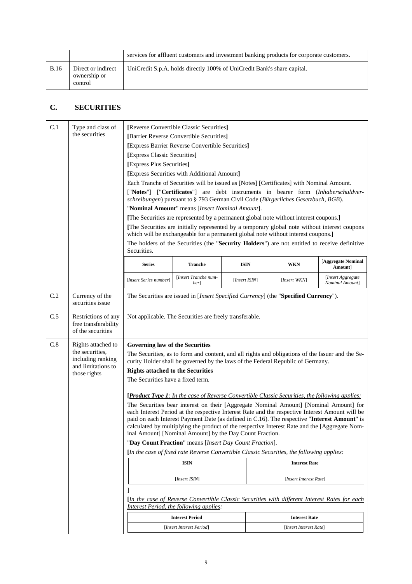|             |                                               | services for affluent customers and investment banking products for corporate customers. |
|-------------|-----------------------------------------------|------------------------------------------------------------------------------------------|
| <b>B.16</b> | Direct or indirect<br>ownership or<br>control | UniCredit S.p.A. holds directly 100% of UniCredit Bank's share capital.                  |

# **C. SECURITIES**

| C.1 | Type and class of<br>the securities                                                              | [Reverse Convertible Classic Securities]<br>[Barrier Reverse Convertible Securities]<br>[Express Barrier Reverse Convertible Securities]<br>[Express Classic Securities]<br>[Express Plus Securities]<br>[Express Securities with Additional Amount]<br>Each Tranche of Securities will be issued as [Notes] [Certificates] with Nominal Amount.<br>["Notes"] ["Certificates"] are debt instruments in bearer form (Inhaberschuldver-<br>schreibungen) pursuant to § 793 German Civil Code (Bürgerliches Gesetzbuch, BGB).<br>"Nominal Amount" means [Insert Nominal Amount].<br>[The Securities are represented by a permanent global note without interest coupons.]<br>[The Securities are initially represented by a temporary global note without interest coupons<br>which will be exchangeable for a permanent global note without interest coupons.]<br>The holders of the Securities (the "Security Holders") are not entitled to receive definitive<br>Securities. |                                                                                                                                                |               |  |                        |                                      |
|-----|--------------------------------------------------------------------------------------------------|------------------------------------------------------------------------------------------------------------------------------------------------------------------------------------------------------------------------------------------------------------------------------------------------------------------------------------------------------------------------------------------------------------------------------------------------------------------------------------------------------------------------------------------------------------------------------------------------------------------------------------------------------------------------------------------------------------------------------------------------------------------------------------------------------------------------------------------------------------------------------------------------------------------------------------------------------------------------------|------------------------------------------------------------------------------------------------------------------------------------------------|---------------|--|------------------------|--------------------------------------|
|     |                                                                                                  | <b>Series</b>                                                                                                                                                                                                                                                                                                                                                                                                                                                                                                                                                                                                                                                                                                                                                                                                                                                                                                                                                                | <b>Tranche</b>                                                                                                                                 | <b>ISIN</b>   |  | <b>WKN</b>             | [Aggregate Nominal<br>Amount]        |
|     |                                                                                                  | [Insert Series number]                                                                                                                                                                                                                                                                                                                                                                                                                                                                                                                                                                                                                                                                                                                                                                                                                                                                                                                                                       | [Insert Tranche num-<br>ber                                                                                                                    | [Insert ISIN] |  | [Insert WKN]           | [Insert Aggregate<br>Nominal Amount] |
| C.2 | Currency of the<br>securities issue                                                              | The Securities are issued in [ <i>Insert Specified Currency</i> ] (the " <b>Specified Currency</b> ").                                                                                                                                                                                                                                                                                                                                                                                                                                                                                                                                                                                                                                                                                                                                                                                                                                                                       |                                                                                                                                                |               |  |                        |                                      |
| C.5 | Restrictions of any<br>free transferability<br>of the securities                                 | Not applicable. The Securities are freely transferable.                                                                                                                                                                                                                                                                                                                                                                                                                                                                                                                                                                                                                                                                                                                                                                                                                                                                                                                      |                                                                                                                                                |               |  |                        |                                      |
| C.8 | Rights attached to<br>the securities.<br>including ranking<br>and limitations to<br>those rights | Governing law of the Securities<br>The Securities, as to form and content, and all rights and obligations of the Issuer and the Se-<br>curity Holder shall be governed by the laws of the Federal Republic of Germany.<br><b>Rights attached to the Securities</b><br>The Securities have a fixed term.<br><b>[Product Type 1:</b> In the case of Reverse Convertible Classic Securities, the following applies:<br>The Securities bear interest on their [Aggregate Nominal Amount] [Nominal Amount] for<br>each Interest Period at the respective Interest Rate and the respective Interest Amount will be<br>paid on each Interest Payment Date (as defined in C.16). The respective "Interest Amount" is<br>calculated by multiplying the product of the respective Interest Rate and the [Aggregate Nom-                                                                                                                                                                |                                                                                                                                                |               |  |                        |                                      |
|     |                                                                                                  | inal Amount] [Nominal Amount] by the Day Count Fraction.<br>"Day Count Fraction" means [Insert Day Count Fraction].                                                                                                                                                                                                                                                                                                                                                                                                                                                                                                                                                                                                                                                                                                                                                                                                                                                          |                                                                                                                                                |               |  |                        |                                      |
|     |                                                                                                  |                                                                                                                                                                                                                                                                                                                                                                                                                                                                                                                                                                                                                                                                                                                                                                                                                                                                                                                                                                              | [In the case of fixed rate Reverse Convertible Classic Securities, the following applies:                                                      |               |  |                        |                                      |
|     |                                                                                                  |                                                                                                                                                                                                                                                                                                                                                                                                                                                                                                                                                                                                                                                                                                                                                                                                                                                                                                                                                                              | <b>ISIN</b>                                                                                                                                    |               |  | <b>Interest Rate</b>   |                                      |
|     |                                                                                                  |                                                                                                                                                                                                                                                                                                                                                                                                                                                                                                                                                                                                                                                                                                                                                                                                                                                                                                                                                                              | [Insert ISIN]                                                                                                                                  |               |  | [Insert Interest Rate] |                                      |
|     |                                                                                                  |                                                                                                                                                                                                                                                                                                                                                                                                                                                                                                                                                                                                                                                                                                                                                                                                                                                                                                                                                                              | <i>In the case of Reverse Convertible Classic Securities with different Interest Rates for each</i><br>Interest Period, the following applies: |               |  |                        |                                      |
|     |                                                                                                  |                                                                                                                                                                                                                                                                                                                                                                                                                                                                                                                                                                                                                                                                                                                                                                                                                                                                                                                                                                              | <b>Interest Period</b>                                                                                                                         |               |  | <b>Interest Rate</b>   |                                      |
|     |                                                                                                  |                                                                                                                                                                                                                                                                                                                                                                                                                                                                                                                                                                                                                                                                                                                                                                                                                                                                                                                                                                              | [Insert Interest Period]                                                                                                                       |               |  | [Insert Interest Rate] |                                      |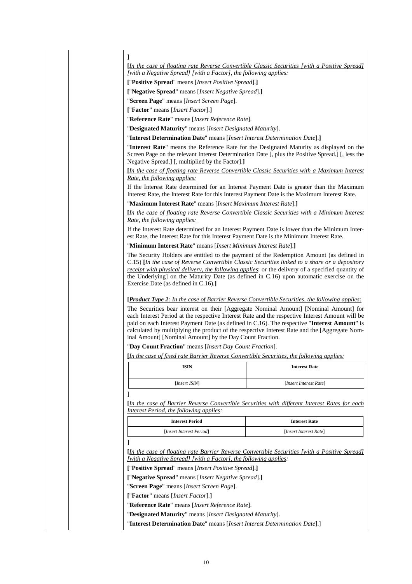#### **[***In the case of floating rate Reverse Convertible Classic Securities [with a Positive Spread] [with a Negative Spread] [with a Factor], the following applies:*

**[**"**Positive Spread**" means [*Insert Positive Spread*].**]**

**[**"**Negative Spread**" means [*Insert Negative Spread*].**]**

"**Screen Page**" means [*Insert Screen Page*].

**[**"**Factor**" means [*Insert Factor*].**]**

**]**

"**Reference Rate**" means [*Insert Reference Rate*].

"**Designated Maturity**" means [*Insert Designated Maturity*].

"**Interest Determination Date**" means [*Insert Interest Determination Date*].**]**

"**Interest Rate**" means the Reference Rate for the Designated Maturity as displayed on the Screen Page on the relevant Interest Determination Date [, plus the Positive Spread.] [, less the Negative Spread.] [, multiplied by the Factor].**]**

**[***In the case of floating rate Reverse Convertible Classic Securities with a Maximum Interest Rate, the following applies:*

If the Interest Rate determined for an Interest Payment Date is greater than the Maximum Interest Rate, the Interest Rate for this Interest Payment Date is the Maximum Interest Rate.

"**Maximum Interest Rate**" means [*Insert Maximum Interest Rate*].**]**

**[***In the case of floating rate Reverse Convertible Classic Securities with a Minimum Interest Rate, the following applies:*

If the Interest Rate determined for an Interest Payment Date is lower than the Minimum Interest Rate, the Interest Rate for this Interest Payment Date is the Minimum Interest Rate.

"**Minimum Interest Rate**" means [*Insert Minimum Interest Rate*].**]**

The Security Holders are entitled to the payment of the Redemption Amount (as defined in C.15) **[***In the case of Reverse Convertible Classic Securities linked to a share or a depository receipt with physical delivery, the following applies*: or the delivery of a specified quantity of the Underlying] on the Maturity Date (as defined in C.16) upon automatic exercise on the Exercise Date (as defined in C.16).**]**

#### **[***Product Type 2: In the case of Barrier Reverse Convertible Securities, the following applies:*

The Securities bear interest on their [Aggregate Nominal Amount] [Nominal Amount] for each Interest Period at the respective Interest Rate and the respective Interest Amount will be paid on each Interest Payment Date (as defined in C.16). The respective "**Interest Amount**" is calculated by multiplying the product of the respective Interest Rate and the [Aggregate Nominal Amount] [Nominal Amount] by the Day Count Fraction.

"**Day Count Fraction**" means [*Insert Day Count Fraction*].

**[***In the case of fixed rate Barrier Reverse Convertible Securities, the following applies:*

| <b>ISIN</b>   | <b>Interest Rate</b>   |
|---------------|------------------------|
| [Insert ISIN] | [Insert Interest Rate] |

**[***In the case of Barrier Reverse Convertible Securities with different Interest Rates for each Interest Period, the following applies:*

| <b>Interest Period</b>   | <b>Interest Rate</b>   |
|--------------------------|------------------------|
| [Insert Interest Period] | [Insert Interest Rate] |

**[***In the case of floating rate Barrier Reverse Convertible Securities [with a Positive Spread] [with a Negative Spread] [with a Factor], the following applies:*

**[**"**Positive Spread**" means [*Insert Positive Spread*].**]**

**[**"**Negative Spread**" means [*Insert Negative Spread*].**]**

"**Screen Page**" means [*Insert Screen Page*].

**[**"**Factor**" means [*Insert Factor*].**]**

]

**]**

"**Reference Rate**" means [*Insert Reference Rate*].

"**Designated Maturity**" means [*Insert Designated Maturity*].

"**Interest Determination Date**" means [*Insert Interest Determination Date*].]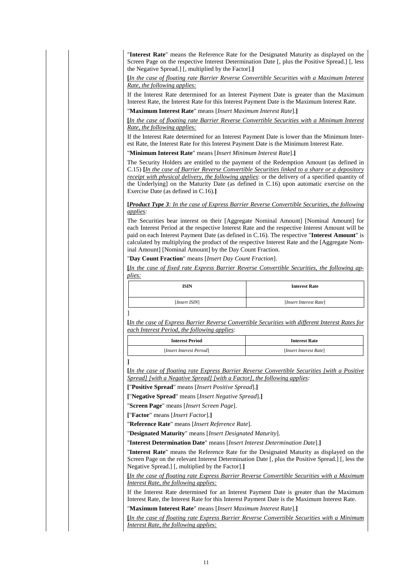"**Interest Rate**" means the Reference Rate for the Designated Maturity as displayed on the Screen Page on the respective Interest Determination Date [, plus the Positive Spread.] [, less the Negative Spread.] [, multiplied by the Factor].**]**

**[***In the case of floating rate Barrier Reverse Convertible Securities with a Maximum Interest Rate, the following applies:*

If the Interest Rate determined for an Interest Payment Date is greater than the Maximum Interest Rate, the Interest Rate for this Interest Payment Date is the Maximum Interest Rate. "**Maximum Interest Rate**" means [*Insert Maximum Interest Rate*].**]**

**[***In the case of floating rate Barrier Reverse Convertible Securities with a Minimum Interest Rate, the following applies:*

If the Interest Rate determined for an Interest Payment Date is lower than the Minimum Interest Rate, the Interest Rate for this Interest Payment Date is the Minimum Interest Rate.

"**Minimum Interest Rate**" means [*Insert Minimum Interest Rate*].**]**

The Security Holders are entitled to the payment of the Redemption Amount (as defined in C.15) **[***In the case of Barrier Reverse Convertible Securities linked to a share or a depository receipt with physical delivery, the following applies*: or the delivery of a specified quantity of the Underlying] on the Maturity Date (as defined in C.16) upon automatic exercise on the Exercise Date (as defined in C.16).**]**

**[***Product Type 3: In the case of Express Barrier Reverse Convertible Securities, the following applies:*

The Securities bear interest on their [Aggregate Nominal Amount] [Nominal Amount] for each Interest Period at the respective Interest Rate and the respective Interest Amount will be paid on each Interest Payment Date (as defined in C.16). The respective "**Interest Amount**" is calculated by multiplying the product of the respective Interest Rate and the [Aggregate Nominal Amount] [Nominal Amount] by the Day Count Fraction.

"**Day Count Fraction**" means [*Insert Day Count Fraction*].

**[***In the case of fixed rate Express Barrier Reverse Convertible Securities, the following applies:*

| <b>ISIN</b>   | <b>Interest Rate</b>   |
|---------------|------------------------|
| [Insert ISIN] | [Insert Interest Rate] |
|               |                        |

**[***In the case of Express Barrier Reverse Convertible Securities with different Interest Rates for each Interest Period, the following applies:*

| <b>Interest Period</b>   | <b>Interest Rate</b>   |  |  |
|--------------------------|------------------------|--|--|
| [Insert Interest Period] | [Insert Interest Rate] |  |  |

**[***In the case of floating rate Express Barrier Reverse Convertible Securities [with a Positive Spread] [with a Negative Spread] [with a Factor], the following applies:*

**[**"**Positive Spread**" means [*Insert Positive Spread*].**]**

**[**"**Negative Spread**" means [*Insert Negative Spread*].**]**

"**Screen Page**" means [*Insert Screen Page*].

**[**"**Factor**" means [*Insert Factor*].**]**

]

**]**

"**Reference Rate**" means [*Insert Reference Rate*].

"**Designated Maturity**" means [*Insert Designated Maturity*].

"**Interest Determination Date**" means [*Insert Interest Determination Date*].**]**

"**Interest Rate**" means the Reference Rate for the Designated Maturity as displayed on the Screen Page on the relevant Interest Determination Date [, plus the Positive Spread.] [, less the Negative Spread.] [, multiplied by the Factor].**]**

**[***In the case of floating rate Express Barrier Reverse Convertible Securities with a Maximum Interest Rate, the following applies:*

If the Interest Rate determined for an Interest Payment Date is greater than the Maximum Interest Rate, the Interest Rate for this Interest Payment Date is the Maximum Interest Rate.

"**Maximum Interest Rate**" means [*Insert Maximum Interest Rate*].**]**

**[***In the case of floating rate Express Barrier Reverse Convertible Securities with a Minimum Interest Rate, the following applies:*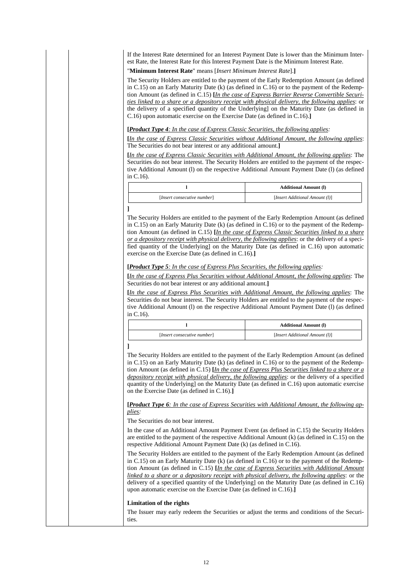If the Interest Rate determined for an Interest Payment Date is lower than the Minimum Interest Rate, the Interest Rate for this Interest Payment Date is the Minimum Interest Rate.

"**Minimum Interest Rate**" means [*Insert Minimum Interest Rate*].**]**

The Security Holders are entitled to the payment of the Early Redemption Amount (as defined in C.15) on an Early Maturity Date (k) (as defined in C.16) or to the payment of the Redemption Amount (as defined in C.15) **[***In the case of Express Barrier Reverse Convertible Securities linked to a share or a depository receipt with physical delivery, the following applies*: or the delivery of a specified quantity of the Underlying] on the Maturity Date (as defined in C.16) upon automatic exercise on the Exercise Date (as defined in C.16).**]**

**[***Product Type 4: In the case of Express Classic Securities, the following applies:*

**[***In the case of Express Classic Securities without Additional Amount, the following applies*: The Securities do not bear interest or any additional amount.**]**

**[***In the case of Express Classic Securities with Additional Amount, the following applies*: The Securities do not bear interest. The Security Holders are entitled to the payment of the respective Additional Amount (l) on the respective Additional Amount Payment Date (l) (as defined in C.16).

|                             | <b>Additional Amount (I)</b>   |
|-----------------------------|--------------------------------|
| [Insert consecutive number] | [Insert Additional Amount (1)] |

### **]**

The Security Holders are entitled to the payment of the Early Redemption Amount (as defined in C.15) on an Early Maturity Date (k) (as defined in C.16) or to the payment of the Redemption Amount (as defined in C.15) **[***In the case of Express Classic Securities linked to a share or a depository receipt with physical delivery, the following applies*: or the delivery of a specified quantity of the Underlying] on the Maturity Date (as defined in C.16) upon automatic exercise on the Exercise Date (as defined in C.16).**]**

#### **[***Product Type 5: In the case of Express Plus Securities, the following applies:*

**[***In the case of Express Plus Securities without Additional Amount, the following applies*: The Securities do not bear interest or any additional amount.**]**

**[***In the case of Express Plus Securities with Additional Amount, the following applies*: The Securities do not bear interest. The Security Holders are entitled to the payment of the respective Additional Amount (l) on the respective Additional Amount Payment Date (l) (as defined in C.16).

|                             | <b>Additional Amount (I)</b>   |
|-----------------------------|--------------------------------|
| [Insert consecutive number] | [Insert Additional Amount (1)] |

**]**

The Security Holders are entitled to the payment of the Early Redemption Amount (as defined in C.15) on an Early Maturity Date (k) (as defined in C.16) or to the payment of the Redemption Amount (as defined in C.15) **[***In the case of Express Plus Securities linked to a share or a depository receipt with physical delivery, the following applies*: or the delivery of a specified quantity of the Underlying] on the Maturity Date (as defined in C.16) upon automatic exercise on the Exercise Date (as defined in C.16).**]**

**[***Product Type 6: In the case of Express Securities with Additional Amount, the following applies:*

The Securities do not bear interest.

In the case of an Additional Amount Payment Event (as defined in C.15) the Security Holders are entitled to the payment of the respective Additional Amount (k) (as defined in C.15) on the respective Additional Amount Payment Date (k) (as defined in C.16).

The Security Holders are entitled to the payment of the Early Redemption Amount (as defined in C.15) on an Early Maturity Date (k) (as defined in C.16) or to the payment of the Redemption Amount (as defined in C.15) **[***In the case of Express Securities with Additional Amount linked to a share or a depository receipt with physical delivery, the following applies*: or the delivery of a specified quantity of the Underlying] on the Maturity Date (as defined in C.16) upon automatic exercise on the Exercise Date (as defined in C.16).**]**

#### **Limitation of the rights**

The Issuer may early redeem the Securities or adjust the terms and conditions of the Securities.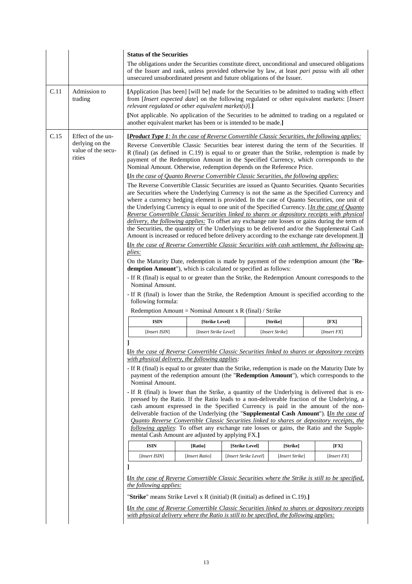|      |                                                                      | <b>Status of the Securities</b>                                                                                                                                                                                                                       |                |                                                         |                 |                                                                                                                                                                                                                                                                                                                                                                                                                                                                                                                                                                                                                                                                                                                                                                                                 |  |
|------|----------------------------------------------------------------------|-------------------------------------------------------------------------------------------------------------------------------------------------------------------------------------------------------------------------------------------------------|----------------|---------------------------------------------------------|-----------------|-------------------------------------------------------------------------------------------------------------------------------------------------------------------------------------------------------------------------------------------------------------------------------------------------------------------------------------------------------------------------------------------------------------------------------------------------------------------------------------------------------------------------------------------------------------------------------------------------------------------------------------------------------------------------------------------------------------------------------------------------------------------------------------------------|--|
|      |                                                                      | unsecured unsubordinated present and future obligations of the Issuer.                                                                                                                                                                                |                |                                                         |                 | The obligations under the Securities constitute direct, unconditional and unsecured obligations<br>of the Issuer and rank, unless provided otherwise by law, at least pari passu with all other                                                                                                                                                                                                                                                                                                                                                                                                                                                                                                                                                                                                 |  |
| C.11 | Admission to<br>trading                                              | [Application [has been] [will be] made for the Securities to be admitted to trading with effect<br>from [Insert expected date] on the following regulated or other equivalent markets: [Insert<br>relevant regulated or other equivalent market(s)].] |                |                                                         |                 |                                                                                                                                                                                                                                                                                                                                                                                                                                                                                                                                                                                                                                                                                                                                                                                                 |  |
|      |                                                                      | [Not applicable. No application of the Securities to be admitted to trading on a regulated or<br>another equivalent market has been or is intended to be made.]                                                                                       |                |                                                         |                 |                                                                                                                                                                                                                                                                                                                                                                                                                                                                                                                                                                                                                                                                                                                                                                                                 |  |
| C.15 | Effect of the un-<br>derlying on the<br>value of the secu-<br>rities | Nominal Amount. Otherwise, redemption depends on the Reference Price.                                                                                                                                                                                 |                |                                                         |                 | <b>[Product Type 1:</b> In the case of Reverse Convertible Classic Securities, the following applies:<br>Reverse Convertible Classic Securities bear interest during the term of the Securities. If<br>R (final) (as defined in C.19) is equal to or greater than the Strike, redemption is made by<br>payment of the Redemption Amount in the Specified Currency, which corresponds to the                                                                                                                                                                                                                                                                                                                                                                                                     |  |
|      |                                                                      | [In the case of Quanto Reverse Convertible Classic Securities, the following applies:                                                                                                                                                                 |                |                                                         |                 |                                                                                                                                                                                                                                                                                                                                                                                                                                                                                                                                                                                                                                                                                                                                                                                                 |  |
|      |                                                                      |                                                                                                                                                                                                                                                       |                |                                                         |                 | The Reverse Convertible Classic Securities are issued as Quanto Securities. Quanto Securities<br>are Securities where the Underlying Currency is not the same as the Specified Currency and<br>where a currency hedging element is provided. In the case of Quanto Securities, one unit of<br>the Underlying Currency is equal to one unit of the Specified Currency. [In the case of Quanto<br>Reverse Convertible Classic Securities linked to shares or depository receipts with physical<br>delivery, the following applies: To offset any exchange rate losses or gains during the term of<br>the Securities, the quantity of the Underlyings to be delivered and/or the Supplemental Cash<br>Amount is increased or reduced before delivery according to the exchange rate development.]] |  |
|      |                                                                      |                                                                                                                                                                                                                                                       |                |                                                         |                 |                                                                                                                                                                                                                                                                                                                                                                                                                                                                                                                                                                                                                                                                                                                                                                                                 |  |
|      |                                                                      | plies:                                                                                                                                                                                                                                                |                |                                                         |                 | <i>In the case of Reverse Convertible Classic Securities with cash settlement, the following ap-</i>                                                                                                                                                                                                                                                                                                                                                                                                                                                                                                                                                                                                                                                                                            |  |
|      |                                                                      |                                                                                                                                                                                                                                                       |                |                                                         |                 | On the Maturity Date, redemption is made by payment of the redemption amount (the "Re-                                                                                                                                                                                                                                                                                                                                                                                                                                                                                                                                                                                                                                                                                                          |  |
|      |                                                                      | demption Amount"), which is calculated or specified as follows:                                                                                                                                                                                       |                |                                                         |                 |                                                                                                                                                                                                                                                                                                                                                                                                                                                                                                                                                                                                                                                                                                                                                                                                 |  |
|      |                                                                      |                                                                                                                                                                                                                                                       |                |                                                         |                 | - If R (final) is equal to or greater than the Strike, the Redemption Amount corresponds to the                                                                                                                                                                                                                                                                                                                                                                                                                                                                                                                                                                                                                                                                                                 |  |
|      |                                                                      | following formula:                                                                                                                                                                                                                                    |                | Redemption Amount = Nominal Amount x R (final) / Strike |                 | - If R (final) is lower than the Strike, the Redemption Amount is specified according to the                                                                                                                                                                                                                                                                                                                                                                                                                                                                                                                                                                                                                                                                                                    |  |
|      |                                                                      |                                                                                                                                                                                                                                                       |                |                                                         |                 |                                                                                                                                                                                                                                                                                                                                                                                                                                                                                                                                                                                                                                                                                                                                                                                                 |  |
|      |                                                                      | <b>ISIN</b>                                                                                                                                                                                                                                           | [Strike Level] |                                                         | [Strike]        | [FX]                                                                                                                                                                                                                                                                                                                                                                                                                                                                                                                                                                                                                                                                                                                                                                                            |  |
|      |                                                                      | [Insert ISIN]<br>[Insert Strike Level]<br>[Insert Strike]                                                                                                                                                                                             |                |                                                         |                 |                                                                                                                                                                                                                                                                                                                                                                                                                                                                                                                                                                                                                                                                                                                                                                                                 |  |
|      |                                                                      |                                                                                                                                                                                                                                                       |                |                                                         |                 | [Insert FX]                                                                                                                                                                                                                                                                                                                                                                                                                                                                                                                                                                                                                                                                                                                                                                                     |  |
|      |                                                                      | with physical delivery, the following applies:                                                                                                                                                                                                        |                |                                                         |                 | <i>In the case of Reverse Convertible Classic Securities linked to shares or depository receipts</i><br>- If R (final) is equal to or greater than the Strike, redemption is made on the Maturity Date by<br>payment of the redemption amount (the "Redemption Amount"), which corresponds to the                                                                                                                                                                                                                                                                                                                                                                                                                                                                                               |  |
|      |                                                                      | Nominal Amount.                                                                                                                                                                                                                                       |                |                                                         |                 | - If R (final) is lower than the Strike, a quantity of the Underlying is delivered that is ex-<br>pressed by the Ratio. If the Ratio leads to a non-deliverable fraction of the Underlying, a<br>cash amount expressed in the Specified Currency is paid in the amount of the non-<br>deliverable fraction of the Underlying (the "Supplemental Cash Amount"). [In the case of<br><b>Quanto Reverse Convertible Classic Securities linked to shares or depository receipts, the</b><br>following applies: To offset any exchange rate losses or gains, the Ratio and the Supple-                                                                                                                                                                                                                |  |
|      |                                                                      | mental Cash Amount are adjusted by applying FX.]                                                                                                                                                                                                      |                |                                                         |                 |                                                                                                                                                                                                                                                                                                                                                                                                                                                                                                                                                                                                                                                                                                                                                                                                 |  |
|      |                                                                      | <b>ISIN</b>                                                                                                                                                                                                                                           | [Ratio]        | [Strike Level]                                          | [Strike]        | $[\mathbf{FX}]$                                                                                                                                                                                                                                                                                                                                                                                                                                                                                                                                                                                                                                                                                                                                                                                 |  |
|      |                                                                      | [Insert ISIN]                                                                                                                                                                                                                                         | [Insert Ratio] | [Insert Strike Level]                                   | [Insert Strike] | [Insert FX]                                                                                                                                                                                                                                                                                                                                                                                                                                                                                                                                                                                                                                                                                                                                                                                     |  |
|      |                                                                      |                                                                                                                                                                                                                                                       |                |                                                         |                 | [In the case of Reverse Convertible Classic Securities where the Strike is still to be specified,                                                                                                                                                                                                                                                                                                                                                                                                                                                                                                                                                                                                                                                                                               |  |
|      |                                                                      | the following applies:<br>"Strike" means Strike Level x R (initial) (R (initial) as defined in $C.19$ ).]                                                                                                                                             |                |                                                         |                 |                                                                                                                                                                                                                                                                                                                                                                                                                                                                                                                                                                                                                                                                                                                                                                                                 |  |
|      |                                                                      |                                                                                                                                                                                                                                                       |                |                                                         |                 |                                                                                                                                                                                                                                                                                                                                                                                                                                                                                                                                                                                                                                                                                                                                                                                                 |  |
|      |                                                                      | with physical delivery where the Ratio is still to be specified, the following applies:                                                                                                                                                               |                |                                                         |                 | <i><u>In the case of Reverse Convertible Classic Securities linked to shares or depository receipts</u></i>                                                                                                                                                                                                                                                                                                                                                                                                                                                                                                                                                                                                                                                                                     |  |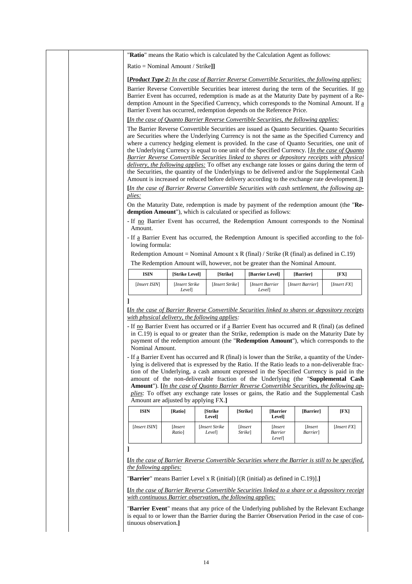|                                                                                                    |                                      |                   |          |                           | "Ratio" means the Ratio which is calculated by the Calculation Agent as follows:                                                                                                                                                                                                                                                                                                                                                                                                                                                                                                                                                                                                                                                                                                                |             |
|----------------------------------------------------------------------------------------------------|--------------------------------------|-------------------|----------|---------------------------|-------------------------------------------------------------------------------------------------------------------------------------------------------------------------------------------------------------------------------------------------------------------------------------------------------------------------------------------------------------------------------------------------------------------------------------------------------------------------------------------------------------------------------------------------------------------------------------------------------------------------------------------------------------------------------------------------------------------------------------------------------------------------------------------------|-------------|
| Ratio = Nominal Amount / Strike]]                                                                  |                                      |                   |          |                           |                                                                                                                                                                                                                                                                                                                                                                                                                                                                                                                                                                                                                                                                                                                                                                                                 |             |
| Barrier Event has occurred, redemption depends on the Reference Price.                             |                                      |                   |          |                           | <b>[Product Type 2:</b> In the case of Barrier Reverse Convertible Securities, the following applies:<br>Barrier Reverse Convertible Securities bear interest during the term of the Securities. If no<br>Barrier Event has occurred, redemption is made as at the Maturity Date by payment of a Re-<br>demption Amount in the Specified Currency, which corresponds to the Nominal Amount. If a                                                                                                                                                                                                                                                                                                                                                                                                |             |
|                                                                                                    |                                      |                   |          |                           | [In the case of Quanto Barrier Reverse Convertible Securities, the following applies:                                                                                                                                                                                                                                                                                                                                                                                                                                                                                                                                                                                                                                                                                                           |             |
|                                                                                                    |                                      |                   |          |                           | The Barrier Reverse Convertible Securities are issued as Quanto Securities. Quanto Securities<br>are Securities where the Underlying Currency is not the same as the Specified Currency and<br>where a currency hedging element is provided. In the case of Quanto Securities, one unit of<br>the Underlying Currency is equal to one unit of the Specified Currency. [In the case of Quanto<br>Barrier Reverse Convertible Securities linked to shares or depository receipts with physical<br>delivery, the following applies: To offset any exchange rate losses or gains during the term of<br>the Securities, the quantity of the Underlyings to be delivered and/or the Supplemental Cash<br>Amount is increased or reduced before delivery according to the exchange rate development.]] |             |
| plies:                                                                                             |                                      |                   |          |                           | <i>In the case of Barrier Reverse Convertible Securities with cash settlement, the following ap-</i>                                                                                                                                                                                                                                                                                                                                                                                                                                                                                                                                                                                                                                                                                            |             |
| demption Amount"), which is calculated or specified as follows:<br>Amount.                         |                                      |                   |          |                           | On the Maturity Date, redemption is made by payment of the redemption amount (the "Re-<br>- If no Barrier Event has occurred, the Redemption Amount corresponds to the Nominal                                                                                                                                                                                                                                                                                                                                                                                                                                                                                                                                                                                                                  |             |
| lowing formula:                                                                                    |                                      |                   |          |                           | - If a Barrier Event has occurred, the Redemption Amount is specified according to the fol-<br>Redemption Amount = Nominal Amount x R (final) / Strike (R (final) as defined in C.19)                                                                                                                                                                                                                                                                                                                                                                                                                                                                                                                                                                                                           |             |
|                                                                                                    |                                      |                   |          |                           | The Redemption Amount will, however, not be greater than the Nominal Amount.                                                                                                                                                                                                                                                                                                                                                                                                                                                                                                                                                                                                                                                                                                                    |             |
| <b>ISIN</b>                                                                                        | [Strike Level]                       | [Strike]          |          | [Barrier Level]           | [Barrier]                                                                                                                                                                                                                                                                                                                                                                                                                                                                                                                                                                                                                                                                                                                                                                                       | [FX]        |
| [Insert ISIN]                                                                                      | [Insert Strike]<br>Level]            | [Insert Strike]   |          | [Insert Barrier<br>Level] | [Insert Barrier]                                                                                                                                                                                                                                                                                                                                                                                                                                                                                                                                                                                                                                                                                                                                                                                | [Insert FX] |
| with physical delivery, the following applies:<br>Nominal Amount.                                  |                                      |                   |          |                           | <i><u>In the case of Barrier Reverse Convertible Securities linked to shares or depository receipts</u></i><br>- If no Barrier Event has occurred or if a Barrier Event has occurred and R (final) (as defined<br>in C.19) is equal to or greater than the Strike, redemption is made on the Maturity Date by<br>payment of the redemption amount (the "Redemption Amount"), which corresponds to the                                                                                                                                                                                                                                                                                                                                                                                           |             |
| - If a Barrier Event has occurred and R (final) is lower than the Strike, a quantity of the Under- |                                      |                   |          |                           |                                                                                                                                                                                                                                                                                                                                                                                                                                                                                                                                                                                                                                                                                                                                                                                                 |             |
|                                                                                                    | Amount are adjusted by applying FX.] |                   |          |                           | lying is delivered that is expressed by the Ratio. If the Ratio leads to a non-deliverable frac-<br>tion of the Underlying, a cash amount expressed in the Specified Currency is paid in the<br>amount of the non-deliverable fraction of the Underlying (the "Supplemental Cash<br><b>Amount</b> "). [In the case of Quanto Barrier Reverse Convertible Securities, the following ap-<br>plies: To offset any exchange rate losses or gains, the Ratio and the Supplemental Cash                                                                                                                                                                                                                                                                                                               |             |
| <b>ISIN</b>                                                                                        | [Ratio]                              | [Strike<br>Level] | [Strike] | [Barrier<br>Level]        | [Barrier]                                                                                                                                                                                                                                                                                                                                                                                                                                                                                                                                                                                                                                                                                                                                                                                       | [FX]        |

"**Barrier Event**" means that any price of the Underlying published by the Relevant Exchange is equal to or lower than the Barrier during the Barrier Observation Period in the case of continuous observation.**]**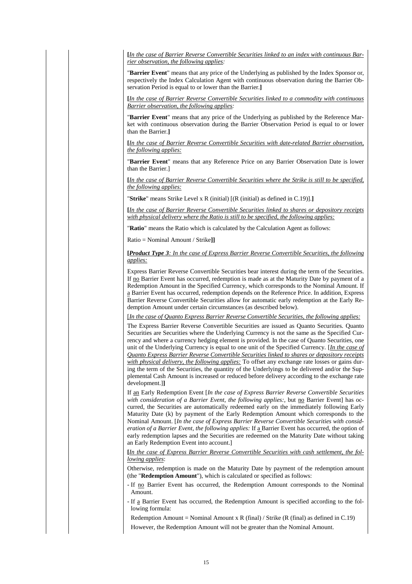**[***In the case of Barrier Reverse Convertible Securities linked to an index with continuous Barrier observation, the following applies:*

"**Barrier Event**" means that any price of the Underlying as published by the Index Sponsor or, respectively the Index Calculation Agent with continuous observation during the Barrier Observation Period is equal to or lower than the Barrier.**]**

**[***In the case of Barrier Reverse Convertible Securities linked to a commodity with continuous Barrier observation, the following applies:*

"**Barrier Event**" means that any price of the Underlying as published by the Reference Market with continuous observation during the Barrier Observation Period is equal to or lower than the Barrier.**]**

**[***In the case of Barrier Reverse Convertible Securities with date-related Barrier observation, the following applies:*

"**Barrier Event**" means that any Reference Price on any Barrier Observation Date is lower than the Barrier.]

**[***In the case of Barrier Reverse Convertible Securities where the Strike is still to be specified, the following applies:*

"**Strike**" means Strike Level x R (initial) [(R (initial) as defined in C.19)].**]**

**[***In the case of Barrier Reverse Convertible Securities linked to shares or depository receipts with physical delivery where the Ratio is still to be specified, the following applies:*

"**Ratio**" means the Ratio which is calculated by the Calculation Agent as follows:

Ratio = Nominal Amount / Strike**]]**

**[***Product Type 3: In the case of Express Barrier Reverse Convertible Securities, the following applies:*

Express Barrier Reverse Convertible Securities bear interest during the term of the Securities. If no Barrier Event has occurred, redemption is made as at the Maturity Date by payment of a Redemption Amount in the Specified Currency, which corresponds to the Nominal Amount. If a Barrier Event has occurred, redemption depends on the Reference Price. In addition, Express Barrier Reverse Convertible Securities allow for automatic early redemption at the Early Redemption Amount under certain circumstances (as described below).

[*In the case of Quanto Express Barrier Reverse Convertible Securities, the following applies:*

The Express Barrier Reverse Convertible Securities are issued as Quanto Securities. Quanto Securities are Securities where the Underlying Currency is not the same as the Specified Currency and where a currency hedging element is provided. In the case of Quanto Securities, one unit of the Underlying Currency is equal to one unit of the Specified Currency. [*In the case of Quanto Express Barrier Reverse Convertible Securities linked to shares or depository receipts with physical delivery, the following applies:* To offset any exchange rate losses or gains during the term of the Securities, the quantity of the Underlyings to be delivered and/or the Supplemental Cash Amount is increased or reduced before delivery according to the exchange rate development.]**]**

If an Early Redemption Event [*In the case of Express Barrier Reverse Convertible Securities* with consideration of a Barrier Event, the following applies:, but no Barrier Event] has occurred, the Securities are automatically redeemed early on the immediately following Early Maturity Date (k) by payment of the Early Redemption Amount which corresponds to the Nominal Amount. [*In the case of Express Barrier Reverse Convertible Securities with consideration of a Barrier Event, the following applies:* If a Barrier Event has occurred, the option of early redemption lapses and the Securities are redeemed on the Maturity Date without taking an Early Redemption Event into account.]

**[***In the case of Express Barrier Reverse Convertible Securities with cash settlement, the following applies*:

Otherwise, redemption is made on the Maturity Date by payment of the redemption amount (the "**Redemption Amount**"), which is calculated or specified as follows:

- If no Barrier Event has occurred, the Redemption Amount corresponds to the Nominal Amount.

- If a Barrier Event has occurred, the Redemption Amount is specified according to the following formula:

Redemption Amount = Nominal Amount x R (final) / Strike (R (final) as defined in C.19)

However, the Redemption Amount will not be greater than the Nominal Amount.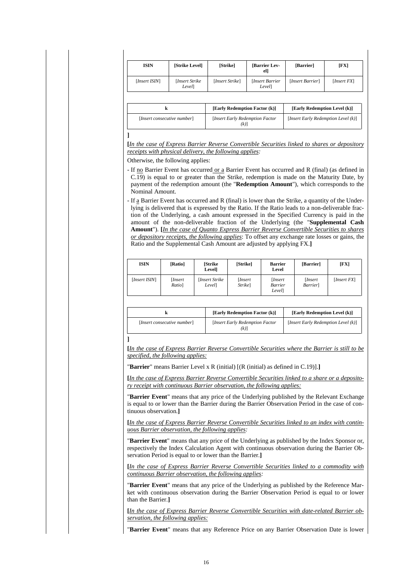| <b>ISIN</b>   | [Strike Level]           | [Strike]        | <b>Barrier Lev-</b><br>el] | [Barrier]        | [FX]        |
|---------------|--------------------------|-----------------|----------------------------|------------------|-------------|
| [Insert ISIN] | [Insert Strike]<br>Level | [Insert Strike] | [Insert Barrier<br>Level]  | [Insert Barrier] | [Insert FX] |

|                             | [Early Redemption Factor (k)]          | [Early Redemption Level (k)]        |
|-----------------------------|----------------------------------------|-------------------------------------|
| [Insert consecutive number] | [Insert Early Redemption Factor<br>(k) | [Insert Early Redemption Level (k)] |

**]**

**[***In the case of Express Barrier Reverse Convertible Securities linked to shares or depository receipts with physical delivery, the following applies:*

Otherwise, the following applies:

- If no Barrier Event has occurred or a Barrier Event has occurred and R (final) (as defined in C.19) is equal to or greater than the Strike, redemption is made on the Maturity Date, by payment of the redemption amount (the "**Redemption Amount**"), which corresponds to the Nominal Amount.
- If a Barrier Event has occurred and R (final) is lower than the Strike, a quantity of the Underlying is delivered that is expressed by the Ratio. If the Ratio leads to a non-deliverable fraction of the Underlying, a cash amount expressed in the Specified Currency is paid in the amount of the non-deliverable fraction of the Underlying (the "**Supplemental Cash Amount**"). **[***In the case of Quanto Express Barrier Reverse Convertible Securities to shares or depository receipts, the following applies*: To offset any exchange rate losses or gains, the Ratio and the Supplemental Cash Amount are adjusted by applying FX.**]**

| <b>ISIN</b>   | [Ratio]          | <b>Strike</b><br>Level]   | [Strike]                   | <b>Barrier</b><br>Level                  | [Barrier]                 | [FX]        |
|---------------|------------------|---------------------------|----------------------------|------------------------------------------|---------------------------|-------------|
| [Insert ISIN] | Insert<br>Ratio] | [Insert Strike]<br>Level] | [ <i>Insert</i><br>Strike] | <i>Insert</i><br><b>Barrier</b><br>Level | <i>Insert</i><br>Barrier] | [Insert FX] |

|                             | [Early Redemption Factor (k)]            | [Early Redemption Level (k)]        |
|-----------------------------|------------------------------------------|-------------------------------------|
| [Insert consecutive number] | [Insert Early Redemption Factor]<br>(k)] | [Insert Early Redemption Level (k)] |

**]**

**[***In the case of Express Barrier Reverse Convertible Securities where the Barrier is still to be specified, the following applies:*

"**Barrier**" means Barrier Level x R (initial) [(R (initial) as defined in C.19)].**]**

**[***In the case of Express Barrier Reverse Convertible Securities linked to a share or a depository receipt with continuous Barrier observation, the following applies:*

"**Barrier Event**" means that any price of the Underlying published by the Relevant Exchange is equal to or lower than the Barrier during the Barrier Observation Period in the case of continuous observation.**]**

**[***In the case of Express Barrier Reverse Convertible Securities linked to an index with continuous Barrier observation, the following applies:*

"**Barrier Event**" means that any price of the Underlying as published by the Index Sponsor or, respectively the Index Calculation Agent with continuous observation during the Barrier Observation Period is equal to or lower than the Barrier.**]**

**[***In the case of Express Barrier Reverse Convertible Securities linked to a commodity with continuous Barrier observation, the following applies:*

"**Barrier Event**" means that any price of the Underlying as published by the Reference Market with continuous observation during the Barrier Observation Period is equal to or lower than the Barrier.**]**

**[***In the case of Express Barrier Reverse Convertible Securities with date-related Barrier observation, the following applies:*

"**Barrier Event**" means that any Reference Price on any Barrier Observation Date is lower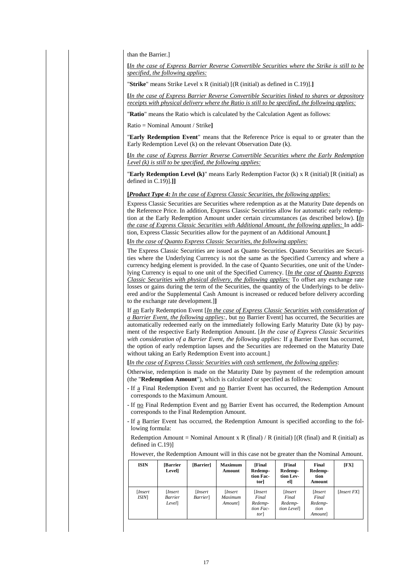than the Barrier.]

**[***In the case of Express Barrier Reverse Convertible Securities where the Strike is still to be specified, the following applies:*

"**Strike**" means Strike Level x R (initial) [(R (initial) as defined in C.19)].**]**

**[***In the case of Express Barrier Reverse Convertible Securities linked to shares or depository receipts with physical delivery where the Ratio is still to be specified, the following applies:*

"**Ratio**" means the Ratio which is calculated by the Calculation Agent as follows:

Ratio = Nominal Amount / Strike**]**

"**Early Redemption Event**" means that the Reference Price is equal to or greater than the Early Redemption Level (k) on the relevant Observation Date (k).

**[***In the case of Express Barrier Reverse Convertible Securities where the Early Redemption Level (k) is still to be specified, the following applies:*

"**Early Redemption Level (k)**" means Early Redemption Factor (k) x R (initial) [R (initial) as defined in C.19)].**]]**

**[***Product Type 4: In the case of Express Classic Securities, the following applies:*

Express Classic Securities are Securities where redemption as at the Maturity Date depends on the Reference Price. In addition, Express Classic Securities allow for automatic early redemption at the Early Redemption Amount under certain circumstances (as described below). **[***In the case of Express Classic Securities with Additional Amount, the following applies:* In addition, Express Classic Securities allow for the payment of an Additional Amount.**]**

**[***In the case of Quanto Express Classic Securities, the following applies:*

The Express Classic Securities are issued as Quanto Securities. Quanto Securities are Securities where the Underlying Currency is not the same as the Specified Currency and where a currency hedging element is provided. In the case of Quanto Securities, one unit of the Underlying Currency is equal to one unit of the Specified Currency. [*In the case of Quanto Express Classic Securities with physical delivery, the following applies:* To offset any exchange rate losses or gains during the term of the Securities, the quantity of the Underlyings to be delivered and/or the Supplemental Cash Amount is increased or reduced before delivery according to the exchange rate development.]**]**

If an Early Redemption Event [*In the case of Express Classic Securities with consideration of a Barrier Event, the following applies:*, but no Barrier Event] has occurred, the Securities are automatically redeemed early on the immediately following Early Maturity Date (k) by payment of the respective Early Redemption Amount. [*In the case of Express Classic Securities with consideration of a Barrier Event, the following applies:* If a Barrier Event has occurred, the option of early redemption lapses and the Securities are redeemed on the Maturity Date without taking an Early Redemption Event into account.]

**[***In the case of Express Classic Securities with cash settlement, the following applies*:

Otherwise, redemption is made on the Maturity Date by payment of the redemption amount (the "**Redemption Amount**"), which is calculated or specified as follows:

- If a Final Redemption Event and no Barrier Event has occurred, the Redemption Amount corresponds to the Maximum Amount.

- If no Final Redemption Event and no Barrier Event has occurred, the Redemption Amount corresponds to the Final Redemption Amount.

- If a Barrier Event has occurred, the Redemption Amount is specified according to the following formula:

Redemption Amount = Nominal Amount x R (final) / R (initial) [(R (final) and R (initial) as defined in C.19)]

However, the Redemption Amount will in this case not be greater than the Nominal Amount.

| <b>ISIN</b>             | <b>[Barrier</b><br>Level]          | [Barrier]                           | <b>Maximum</b><br>Amount              | <b>[Final</b><br>Redemp-<br>tion Fac-<br>tor]          | [Final]<br>Redemp-<br>tion Lev-<br>el]    | Final<br>Redemp-<br>tion<br>Amount             | [FX]        |
|-------------------------|------------------------------------|-------------------------------------|---------------------------------------|--------------------------------------------------------|-------------------------------------------|------------------------------------------------|-------------|
| [ <i>Insert</i><br>ISIM | <i>Insert</i><br>Barrier<br>Level] | [ <i>Insert</i><br><i>Barrier</i> ] | [ <i>Insert</i><br>Maximum<br>Amount] | <i>Insert</i><br>Final<br>Redemp-<br>tion Fac-<br>torl | [Insert<br>Final<br>Redemp-<br>tion Level | [Insert]<br>Final<br>Redemp-<br>tion<br>Amount | [Insert FX] |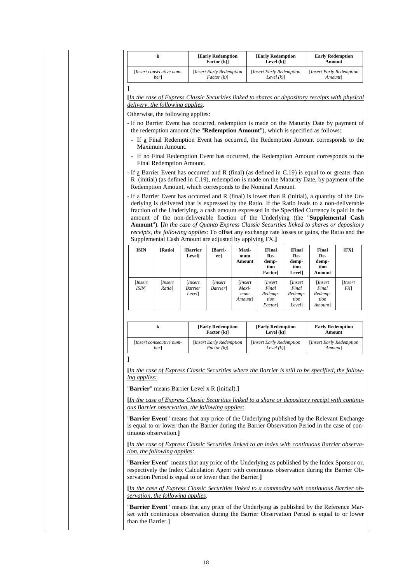|                                 | <b>[Early Redemption</b><br><b>Early Redemption</b><br>Factor (k)]<br>Level $(k)$ ] |                                            | <b>Early Redemption</b><br><b>Amount</b>   |
|---------------------------------|-------------------------------------------------------------------------------------|--------------------------------------------|--------------------------------------------|
| Insert consecutive num-<br>berl | [Insert Early Redemption]<br>$Factor (k)$ ]                                         | [Insert Early Redemption]<br>Level $(k)$ ] | [Insert Early Redemption]<br><i>Amount</i> |
|                                 |                                                                                     |                                            |                                            |

**[***In the case of Express Classic Securities linked to shares or depository receipts with physical delivery, the following applies:*

Otherwise, the following applies:

- If no Barrier Event has occurred, redemption is made on the Maturity Date by payment of the redemption amount (the "**Redemption Amount**"), which is specified as follows:
	- If a Final Redemption Event has occurred, the Redemption Amount corresponds to the Maximum Amount.
- If no Final Redemption Event has occurred, the Redemption Amount corresponds to the Final Redemption Amount.
- If a Barrier Event has occurred and R (final) (as defined in C.19) is equal to or greater than R (initial) (as defined in C.19), redemption is made on the Maturity Date, by payment of the Redemption Amount, which corresponds to the Nominal Amount.
- If a Barrier Event has occurred and R (final) is lower than R (initial), a quantity of the Underlying is delivered that is expressed by the Ratio. If the Ratio leads to a non-deliverable fraction of the Underlying, a cash amount expressed in the Specified Currency is paid in the amount of the non-deliverable fraction of the Underlying (the "**Supplemental Cash Amount**"). **[***In the case of Quanto Express Classic Securities linked to shares or depository receipts, the following applies*: To offset any exchange rate losses or gains, the Ratio and the Supplemental Cash Amount are adjusted by applying FX.**]**

| <b>ISIN</b>     | [Ratio]          | <b>Barrier</b><br>Level]     | [Barri-<br>er]               | <b>Maxi-</b><br>mum<br>Amount              | [Final<br>Re-<br>demp-<br>tion<br>Factorl                  | [Final<br>Re-<br>demp-<br>tion<br>Levell              | Final<br>Re-<br>demp-<br>tion<br>Amount        | [FX]          |
|-----------------|------------------|------------------------------|------------------------------|--------------------------------------------|------------------------------------------------------------|-------------------------------------------------------|------------------------------------------------|---------------|
| [Insert<br>ISIM | Insert<br>Ratio] | [Insert<br>Barrier<br>Level] | [Insert]<br><i>Barrier</i> ] | [ <i>Insert</i><br>Maxi-<br>mum<br>Amount] | <i>Insert</i><br>Final<br>Redemp-<br>tion<br><i>Factor</i> | [ <i>Insert</i><br>Final<br>Redemp-<br>tion<br>Levell | [Insert]<br>Final<br>Redemp-<br>tion<br>Amount | [Insert<br>FX |

|                         | <b>[Early Redemption</b>  | <b>Early Redemption</b>   | <b>Early Redemption</b>   |
|-------------------------|---------------------------|---------------------------|---------------------------|
|                         | Factor $(k)$ ]            | Level $(k)$ ]             | Amount                    |
| Insert consecutive num- | [Insert Early Redemption] | [Insert Early Redemption] | [Insert Early Redemption] |
| berl                    | Factor (k)                | Level $(k)$ ]             | Amount]                   |

**]**

**[***In the case of Express Classic Securities where the Barrier is still to be specified, the following applies:*

"**Barrier**" means Barrier Level x R (initial).**]**

**[***In the case of Express Classic Securities linked to a share or depository receipt with continuous Barrier observation, the following applies:*

"**Barrier Event**" means that any price of the Underlying published by the Relevant Exchange is equal to or lower than the Barrier during the Barrier Observation Period in the case of continuous observation.**]**

**[***In the case of Express Classic Securities linked to an index with continuous Barrier observation, the following applies:*

"**Barrier Event**" means that any price of the Underlying as published by the Index Sponsor or, respectively the Index Calculation Agent with continuous observation during the Barrier Observation Period is equal to or lower than the Barrier.**]**

**[***In the case of Express Classic Securities linked to a commodity with continuous Barrier observation, the following applies:*

"**Barrier Event**" means that any price of the Underlying as published by the Reference Market with continuous observation during the Barrier Observation Period is equal to or lower than the Barrier.**]**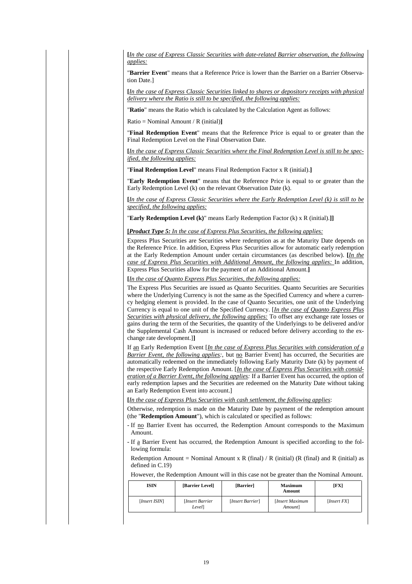**[***In the case of Express Classic Securities with date-related Barrier observation, the following applies:*

"**Barrier Event**" means that a Reference Price is lower than the Barrier on a Barrier Observation Date.]

**[***In the case of Express Classic Securities linked to shares or depository receipts with physical delivery where the Ratio is still to be specified, the following applies:*

"**Ratio**" means the Ratio which is calculated by the Calculation Agent as follows:

Ratio = Nominal Amount / R (initial)**]**

"**Final Redemption Event**" means that the Reference Price is equal to or greater than the Final Redemption Level on the Final Observation Date.

**[***In the case of Express Classic Securities where the Final Redemption Level is still to be specified, the following applies:*

"**Final Redemption Level**" means Final Redemption Factor x R (initial).**]**

"**Early Redemption Event**" means that the Reference Price is equal to or greater than the Early Redemption Level (k) on the relevant Observation Date (k).

**[***In the case of Express Classic Securities where the Early Redemption Level (k) is still to be specified, the following applies:*

"**Early Redemption Level (k)**" means Early Redemption Factor (k) x R (initial).**]]**

**[***Product Type 5: In the case of Express Plus Securities, the following applies:*

Express Plus Securities are Securities where redemption as at the Maturity Date depends on the Reference Price. In addition, Express Plus Securities allow for automatic early redemption at the Early Redemption Amount under certain circumstances (as described below). **[***In the case of Express Plus Securities with Additional Amount, the following applies:* In addition, Express Plus Securities allow for the payment of an Additional Amount.**]**

**[***In the case of Quanto Express Plus Securities, the following applies:*

The Express Plus Securities are issued as Quanto Securities. Quanto Securities are Securities where the Underlying Currency is not the same as the Specified Currency and where a currency hedging element is provided. In the case of Quanto Securities, one unit of the Underlying Currency is equal to one unit of the Specified Currency. [*In the case of Quanto Express Plus Securities with physical delivery, the following applies:* To offset any exchange rate losses or gains during the term of the Securities, the quantity of the Underlyings to be delivered and/or the Supplemental Cash Amount is increased or reduced before delivery according to the exchange rate development.]**]**

If an Early Redemption Event [*In the case of Express Plus Securities with consideration of a Barrier Event, the following applies:*, but no Barrier Event] has occurred, the Securities are automatically redeemed on the immediately following Early Maturity Date (k) by payment of the respective Early Redemption Amount. [*In the case of Express Plus Securities with consideration of a Barrier Event, the following applies:* If a Barrier Event has occurred, the option of early redemption lapses and the Securities are redeemed on the Maturity Date without taking an Early Redemption Event into account.]

**[***In the case of Express Plus Securities with cash settlement, the following applies*:

Otherwise, redemption is made on the Maturity Date by payment of the redemption amount (the "**Redemption Amount**"), which is calculated or specified as follows:

- If no Barrier Event has occurred, the Redemption Amount corresponds to the Maximum Amount.
- If a Barrier Event has occurred, the Redemption Amount is specified according to the following formula:

Redemption Amount = Nominal Amount x R (final) / R (initial) (R (final) and R (initial) as defined in C.19)

However, the Redemption Amount will in this case not be greater than the Nominal Amount.

| <b>ISIN</b>   | [Barrier Level]           | [Barrier]        | <b>Maximum</b><br>Amount    | [FX]        |
|---------------|---------------------------|------------------|-----------------------------|-------------|
| [Insert ISIN] | [Insert Barrier<br>Level] | [Insert Barrier] | [Insert Maximum]<br>Amount] | [Insert FX] |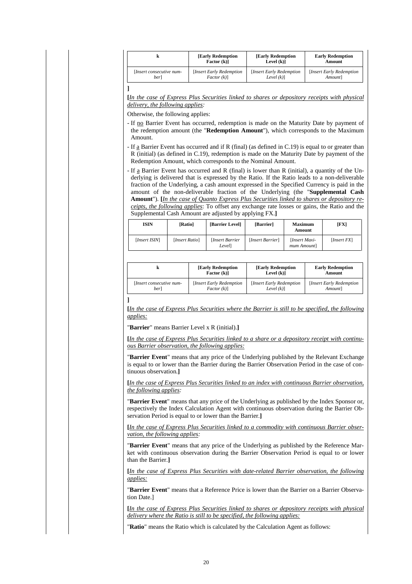|                         | <b>Early Redemption</b><br><b>Early Redemption</b><br>Factor (k)]<br>Level $(k)$ ] |                           | <b>Early Redemption</b><br>Amount |  |
|-------------------------|------------------------------------------------------------------------------------|---------------------------|-----------------------------------|--|
| Insert consecutive num- | [Insert Early Redemption]                                                          | [Insert Early Redemption] | [Insert Early Redemption]         |  |
| berl                    | $Factor (k)$ ]                                                                     | Level $(k)$ ]             | <i>Amount</i>                     |  |

**[***In the case of Express Plus Securities linked to shares or depository receipts with physical delivery, the following applies:*

Otherwise, the following applies:

- If no Barrier Event has occurred, redemption is made on the Maturity Date by payment of the redemption amount (the "**Redemption Amount**"), which corresponds to the Maximum Amount.
- If a Barrier Event has occurred and if R (final) (as defined in C.19) is equal to or greater than R (initial) (as defined in C.19), redemption is made on the Maturity Date by payment of the Redemption Amount, which corresponds to the Nominal Amount.
- If a Barrier Event has occurred and R (final) is lower than R (initial), a quantity of the Underlying is delivered that is expressed by the Ratio. If the Ratio leads to a non-deliverable fraction of the Underlying, a cash amount expressed in the Specified Currency is paid in the amount of the non-deliverable fraction of the Underlying (the "**Supplemental Cash Amount**"). **[***In the case of Quanto Express Plus Securities linked to shares or depository receipts, the following applies*: To offset any exchange rate losses or gains, the Ratio and the Supplemental Cash Amount are adjusted by applying FX.**]**

| ISIN          | [Ratio]        | [Barrier Level]          | [Barrier]        | <b>Maximum</b><br>Amount     | [FX]                 |
|---------------|----------------|--------------------------|------------------|------------------------------|----------------------|
| [Insert ISIN] | [Insert Ratio] | [Insert Barrier<br>Level | [Insert Barrier] | [Insert Maxi-<br>mum Amount] | [ <i>Insert FX</i> ] |

|                         | <b>[Early Redemption</b>  | <b>Early Redemption</b>   | <b>Early Redemption</b>   |
|-------------------------|---------------------------|---------------------------|---------------------------|
|                         | Factor (k)]               | Level $(k)$ ]             | <b>Amount</b>             |
| Insert consecutive num- | [Insert Early Redemption] | [Insert Early Redemption] | [Insert Early Redemption] |
| berl                    | Factor (k)                | Level $(k)$ ]             | <i>Amount</i>             |
|                         |                           |                           |                           |

**[***In the case of Express Plus Securities where the Barrier is still to be specified, the following applies:*

"**Barrier**" means Barrier Level x R (initial).**]**

**[***In the case of Express Plus Securities linked to a share or a depository receipt with continuous Barrier observation, the following applies:*

"**Barrier Event**" means that any price of the Underlying published by the Relevant Exchange is equal to or lower than the Barrier during the Barrier Observation Period in the case of continuous observation.**]**

**[***In the case of Express Plus Securities linked to an index with continuous Barrier observation, the following applies:*

"**Barrier Event**" means that any price of the Underlying as published by the Index Sponsor or, respectively the Index Calculation Agent with continuous observation during the Barrier Observation Period is equal to or lower than the Barrier.**]**

**[***In the case of Express Plus Securities linked to a commodity with continuous Barrier observation, the following applies:*

"**Barrier Event**" means that any price of the Underlying as published by the Reference Market with continuous observation during the Barrier Observation Period is equal to or lower than the Barrier.**]**

**[***In the case of Express Plus Securities with date-related Barrier observation, the following applies:*

"**Barrier Event**" means that a Reference Price is lower than the Barrier on a Barrier Observation Date.]

**[***In the case of Express Plus Securities linked to shares or depository receipts with physical delivery where the Ratio is still to be specified, the following applies:*

"**Ratio**" means the Ratio which is calculated by the Calculation Agent as follows: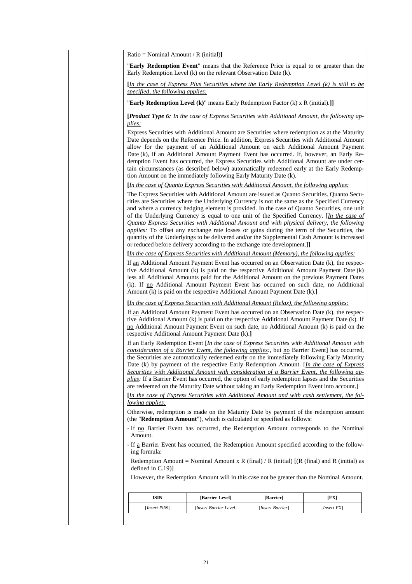Ratio = Nominal Amount / R (initial)**]**

"**Early Redemption Event**" means that the Reference Price is equal to or greater than the Early Redemption Level (k) on the relevant Observation Date (k).

**[***In the case of Express Plus Securities where the Early Redemption Level (k) is still to be specified, the following applies:*

"**Early Redemption Level (k)**" means Early Redemption Factor (k) x R (initial).**]]**

**[***Product Type 6: In the case of Express Securities with Additional Amount, the following applies:*

Express Securities with Additional Amount are Securities where redemption as at the Maturity Date depends on the Reference Price. In addition, Express Securities with Additional Amount allow for the payment of an Additional Amount on each Additional Amount Payment Date (k), if an Additional Amount Payment Event has occurred. If, however, an Early Redemption Event has occurred, the Express Securities with Additional Amount are under certain circumstances (as described below) automatically redeemed early at the Early Redemption Amount on the immediately following Early Maturity Date (k).

**[***In the case of Quanto Express Securities with Additional Amount, the following applies:*

The Express Securities with Additional Amount are issued as Quanto Securities. Quanto Securities are Securities where the Underlying Currency is not the same as the Specified Currency and where a currency hedging element is provided. In the case of Quanto Securities, one unit of the Underlying Currency is equal to one unit of the Specified Currency. [*In the case of Quanto Express Securities with Additional Amount and with physical delivery, the following applies:* To offset any exchange rate losses or gains during the term of the Securities, the quantity of the Underlyings to be delivered and/or the Supplemental Cash Amount is increased or reduced before delivery according to the exchange rate development.]**]**

**[***In the case of Express Securities with Additional Amount (Memory), the following applies:*

If an Additional Amount Payment Event has occurred on an Observation Date (k), the respective Additional Amount (k) is paid on the respective Additional Amount Payment Date (k) less all Additional Amounts paid for the Additional Amount on the previous Payment Dates (k). If no Additional Amount Payment Event has occurred on such date, no Additional Amount (k) is paid on the respective Additional Amount Payment Date (k).**]**

**[***In the case of Express Securities with Additional Amount (Relax), the following applies:*

If an Additional Amount Payment Event has occurred on an Observation Date (k), the respective Additional Amount (k) is paid on the respective Additional Amount Payment Date (k). If no Additional Amount Payment Event on such date, no Additional Amount (k) is paid on the respective Additional Amount Payment Date (k).**]**

If an Early Redemption Event [*In the case of Express Securities with Additional Amount with consideration of a Barrier Event, the following applies:*, but no Barrier Event] has occurred, the Securities are automatically redeemed early on the immediately following Early Maturity Date (k) by payment of the respective Early Redemption Amount. [*In the case of Express Securities with Additional Amount with consideration of a Barrier Event, the following applies:* If a Barrier Event has occurred, the option of early redemption lapses and the Securities are redeemed on the Maturity Date without taking an Early Redemption Event into account.]

**[***In the case of Express Securities with Additional Amount and with cash settlement, the following applies:*

Otherwise, redemption is made on the Maturity Date by payment of the redemption amount (the "**Redemption Amount**"), which is calculated or specified as follows:

- If no Barrier Event has occurred, the Redemption Amount corresponds to the Nominal Amount.

- If a Barrier Event has occurred, the Redemption Amount specified according to the following formula:

Redemption Amount = Nominal Amount x R (final) / R (initial) [(R (final) and R (initial) as defined in C.19)]

However, the Redemption Amount will in this case not be greater than the Nominal Amount.

| ISIN          | [Barrier Level]        | [Barrier]        | [FX]                 |
|---------------|------------------------|------------------|----------------------|
| [Insert ISIN] | [Insert Barrier Level] | [Insert Barrier] | [ <i>Insert FX</i> ] |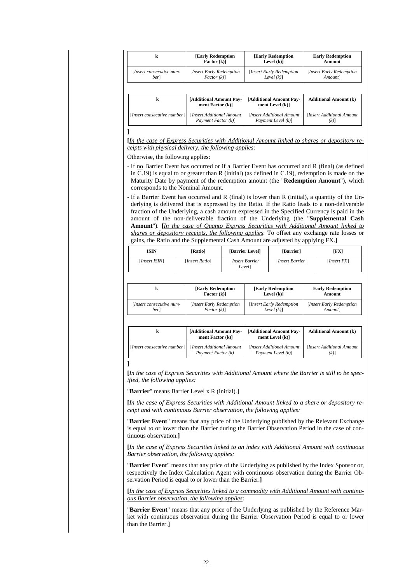| k                           | <b>[Early Redemption</b>                    | <b>[Early Redemption</b>                   | <b>Early Redemption</b>      |
|-----------------------------|---------------------------------------------|--------------------------------------------|------------------------------|
|                             | Factor (k)]                                 | Level $(k)$ ]                              | Amount                       |
| [Insert consecutive num-    | [Insert Early Redemption]                   | <b>Insert Early Redemption</b>             | [Insert Early Redemption     |
| berl                        | Factor (k)                                  | Level $(k)$ ]                              | Amount                       |
| k                           | [Additional Amount Pay-<br>ment Factor (k)] | [Additional Amount Pay-<br>ment Level (k)] | <b>Additional Amount (k)</b> |
| [Insert consecutive number] | [Insert Additional Amount                   | [Insert Additional Amount                  | [Insert Additional Amount    |
|                             | Payment Factor (k)]                         | Payment Level (k)]                         | $(k)$ ]                      |

**[***In the case of Express Securities with Additional Amount linked to shares or depository receipts with physical delivery, the following applies:*

Otherwise, the following applies:

- If no Barrier Event has occurred or if a Barrier Event has occurred and R (final) (as defined in C.19) is equal to or greater than R (initial) (as defined in C.19), redemption is made on the Maturity Date by payment of the redemption amount (the "**Redemption Amount**"), which corresponds to the Nominal Amount.
- If a Barrier Event has occurred and R (final) is lower than R (initial), a quantity of the Underlying is delivered that is expressed by the Ratio. If the Ratio leads to a non-deliverable fraction of the Underlying, a cash amount expressed in the Specified Currency is paid in the amount of the non-deliverable fraction of the Underlying (the "**Supplemental Cash Amount**"). **[***In the case of Quanto Express Securities with Additional Amount linked to shares or depository receipts, the following applies*: To offset any exchange rate losses or gains, the Ratio and the Supplemental Cash Amount are adjusted by applying FX.**]**

| <b>ISIN</b>   | [Ratio]        | [Barrier Level]          | [Barrier]        | [FX]        |
|---------------|----------------|--------------------------|------------------|-------------|
| [Insert ISIN] | [Insert Ratio] | [Insert Barrier<br>Level | [Insert Barrier] | [Insert FX] |

|                          | <b>Early Redemption</b><br>Factor (k)] |                           | <b>Early Redemption</b><br>Amount |
|--------------------------|----------------------------------------|---------------------------|-----------------------------------|
| [Insert consecutive num- | [Insert Early Redemption]              | [Insert Early Redemption] | [Insert Early Redemption]         |
| berl                     | Factor (k)                             | Level $(k)$ ]             | Amountl                           |

|                             | [Additional Amount Pay-<br>ment Factor $(k)$ ] | [Additional Amount Pay-<br>ment Level (k)] | <b>Additional Amount (k)</b> |
|-----------------------------|------------------------------------------------|--------------------------------------------|------------------------------|
| [Insert consecutive number] | Insert Additional Amount                       | [Insert Additional Amount]                 | [Insert Additional Amount]   |
|                             | Payment Factor (k)]                            | Payment Level (k)]                         | (k)                          |

**[***In the case of Express Securities with Additional Amount where the Barrier is still to be specified, the following applies:*

"**Barrier**" means Barrier Level x R (initial).**]**

**]**

**[***In the case of Express Securities with Additional Amount linked to a share or depository receipt and with continuous Barrier observation, the following applies:*

"**Barrier Event**" means that any price of the Underlying published by the Relevant Exchange is equal to or lower than the Barrier during the Barrier Observation Period in the case of continuous observation.**]**

**[***In the case of Express Securities linked to an index with Additional Amount with continuous Barrier observation, the following applies:*

"**Barrier Event**" means that any price of the Underlying as published by the Index Sponsor or, respectively the Index Calculation Agent with continuous observation during the Barrier Observation Period is equal to or lower than the Barrier.**]**

**[***In the case of Express Securities linked to a commodity with Additional Amount with continuous Barrier observation, the following applies:*

"**Barrier Event**" means that any price of the Underlying as published by the Reference Market with continuous observation during the Barrier Observation Period is equal to or lower than the Barrier.**]**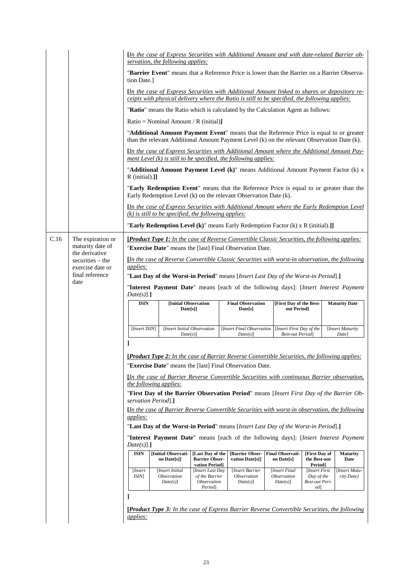|      |                                                                                                                                                                                                | <i><u>In the case of Express Securities with Additional Amount and with date-related Barrier ob-</u></i><br>servation, the following applies:                                          |                                                                           |                                                                                    |                                                           |                                                      |                            |  |  |  |
|------|------------------------------------------------------------------------------------------------------------------------------------------------------------------------------------------------|----------------------------------------------------------------------------------------------------------------------------------------------------------------------------------------|---------------------------------------------------------------------------|------------------------------------------------------------------------------------|-----------------------------------------------------------|------------------------------------------------------|----------------------------|--|--|--|
|      | "Barrier Event" means that a Reference Price is lower than the Barrier on a Barrier Observa-<br>tion Date.                                                                                     |                                                                                                                                                                                        |                                                                           |                                                                                    |                                                           |                                                      |                            |  |  |  |
|      | [In the case of Express Securities with Additional Amount linked to shares or depository re-<br>ceipts with physical delivery where the Ratio is still to be specified, the following applies: |                                                                                                                                                                                        |                                                                           |                                                                                    |                                                           |                                                      |                            |  |  |  |
|      |                                                                                                                                                                                                | "Ratio" means the Ratio which is calculated by the Calculation Agent as follows:                                                                                                       |                                                                           |                                                                                    |                                                           |                                                      |                            |  |  |  |
|      |                                                                                                                                                                                                | Ratio = Nominal Amount / R (initial)]                                                                                                                                                  |                                                                           |                                                                                    |                                                           |                                                      |                            |  |  |  |
|      |                                                                                                                                                                                                | "Additional Amount Payment Event" means that the Reference Price is equal to or greater<br>than the relevant Additional Amount Payment Level (k) on the relevant Observation Date (k). |                                                                           |                                                                                    |                                                           |                                                      |                            |  |  |  |
|      |                                                                                                                                                                                                | [In the case of Express Securities with Additional Amount where the Additional Amount Pay-<br>ment Level $(k)$ is still to be specified, the following applies:                        |                                                                           |                                                                                    |                                                           |                                                      |                            |  |  |  |
|      |                                                                                                                                                                                                | "Additional Amount Payment Level (k)" means Additional Amount Payment Factor (k) x<br>$R$ (initial).]]                                                                                 |                                                                           |                                                                                    |                                                           |                                                      |                            |  |  |  |
|      |                                                                                                                                                                                                | "Early Redemption Event" means that the Reference Price is equal to or greater than the<br>Early Redemption Level (k) on the relevant Observation Date (k).                            |                                                                           |                                                                                    |                                                           |                                                      |                            |  |  |  |
|      |                                                                                                                                                                                                | [In the case of Express Securities with Additional Amount where the Early Redemption Level<br>$(k)$ is still to be specified, the following applies:                                   |                                                                           |                                                                                    |                                                           |                                                      |                            |  |  |  |
|      |                                                                                                                                                                                                | "Early Redemption Level (k)" means Early Redemption Factor (k) x R (initial).]]                                                                                                        |                                                                           |                                                                                    |                                                           |                                                      |                            |  |  |  |
| C.16 | The expiration or<br>maturity date of                                                                                                                                                          | [ <i>Product Type 1: In the case of Reverse Convertible Classic Securities, the following applies:</i><br>"Exercise Date" means the [last] Final Observation Date.                     |                                                                           |                                                                                    |                                                           |                                                      |                            |  |  |  |
|      | the derivative<br>securities – the                                                                                                                                                             | [In the case of Reverse Convertible Classic Securities with worst-in observation, the following                                                                                        |                                                                           |                                                                                    |                                                           |                                                      |                            |  |  |  |
|      | exercise date or                                                                                                                                                                               | applies:                                                                                                                                                                               |                                                                           |                                                                                    |                                                           |                                                      |                            |  |  |  |
|      | final reference<br>date                                                                                                                                                                        | "Last Day of the Worst-in Period" means [Insert Last Day of the Worst-in Period].]                                                                                                     |                                                                           |                                                                                    |                                                           |                                                      |                            |  |  |  |
|      |                                                                                                                                                                                                | "Interest Payment Date" means [each of the following days]: [Insert Interest Payment                                                                                                   |                                                                           |                                                                                    |                                                           |                                                      |                            |  |  |  |
|      |                                                                                                                                                                                                | Date(s)].<br><b>ISIN</b>                                                                                                                                                               | [Initial Observation                                                      | <b>Final Observation</b><br><b>[First Day of the Best-</b><br><b>Maturity Date</b> |                                                           |                                                      |                            |  |  |  |
|      |                                                                                                                                                                                                |                                                                                                                                                                                        | Date[s]                                                                   | Date[s]                                                                            | out Period]                                               |                                                      |                            |  |  |  |
|      |                                                                                                                                                                                                | [Insert ISIN]                                                                                                                                                                          | [Insert Initial Observation                                               | <b>Insert Final Observation</b>                                                    | [Insert First Day of the                                  |                                                      | [Insert Maturity           |  |  |  |
|      |                                                                                                                                                                                                |                                                                                                                                                                                        | $Date(s)$ ]                                                               | $Date(s)$ ]                                                                        | <b>Best-out Period</b>                                    |                                                      | Date]                      |  |  |  |
|      |                                                                                                                                                                                                |                                                                                                                                                                                        |                                                                           |                                                                                    |                                                           |                                                      |                            |  |  |  |
|      |                                                                                                                                                                                                | [Product Type 2: In the case of Barrier Reverse Convertible Securities, the following applies:                                                                                         |                                                                           |                                                                                    |                                                           |                                                      |                            |  |  |  |
|      |                                                                                                                                                                                                | "Exercise Date" means the [last] Final Observation Date.                                                                                                                               |                                                                           |                                                                                    |                                                           |                                                      |                            |  |  |  |
|      |                                                                                                                                                                                                | [In the case of Barrier Reverse Convertible Securities with continuous Barrier observation,<br><i>the following applies:</i>                                                           |                                                                           |                                                                                    |                                                           |                                                      |                            |  |  |  |
|      |                                                                                                                                                                                                |                                                                                                                                                                                        |                                                                           |                                                                                    |                                                           |                                                      |                            |  |  |  |
|      |                                                                                                                                                                                                |                                                                                                                                                                                        |                                                                           |                                                                                    |                                                           |                                                      |                            |  |  |  |
|      |                                                                                                                                                                                                | "First Day of the Barrier Observation Period" means [Insert First Day of the Barrier Ob-<br>servation Period].]                                                                        |                                                                           |                                                                                    |                                                           |                                                      |                            |  |  |  |
|      |                                                                                                                                                                                                | [In the case of Barrier Reverse Convertible Securities with worst-in observation, the following                                                                                        |                                                                           |                                                                                    |                                                           |                                                      |                            |  |  |  |
|      |                                                                                                                                                                                                | <i><u>applies:</u></i>                                                                                                                                                                 |                                                                           |                                                                                    |                                                           |                                                      |                            |  |  |  |
|      |                                                                                                                                                                                                | "Last Day of the Worst-in Period" means [Insert Last Day of the Worst-in Period].]                                                                                                     |                                                                           |                                                                                    |                                                           |                                                      |                            |  |  |  |
|      |                                                                                                                                                                                                | "Interest Payment Date" means [each of the following days]: [Insert Interest Payment<br>$Date(s)$ ].]                                                                                  |                                                                           |                                                                                    |                                                           |                                                      |                            |  |  |  |
|      |                                                                                                                                                                                                | <b>ISIN</b><br>[Initial Observati-<br>on Date[s]]                                                                                                                                      | [Last Day of the<br><b>Barrier Obser-</b><br>vation Period]               | <b>Barrier Obser-</b><br>vation Date[s]]                                           | <b>Final Observati-</b><br>on Date[s]                     | [First Day of<br>the Best-out<br>Period]             | <b>Maturity</b><br>Date    |  |  |  |
|      |                                                                                                                                                                                                | [Insert<br>[Insert Initial<br><i>ISIN</i><br><i><b>Observation</b></i><br>Date(s)]                                                                                                     | [Insert Last Day<br>of the Barrier<br><i><b>Observation</b></i><br>Period | [Insert Barrier<br><i><b>Observation</b></i><br>Date(s)]                           | [Insert Final<br><i><b>Observation</b></i><br>$Date(s)$ ] | [Insert First]<br>Day of the<br>Best-out Peri-<br>od | Insert Matu-<br>rity Date] |  |  |  |
|      |                                                                                                                                                                                                | $\overline{\phantom{a}}$                                                                                                                                                               |                                                                           |                                                                                    |                                                           |                                                      |                            |  |  |  |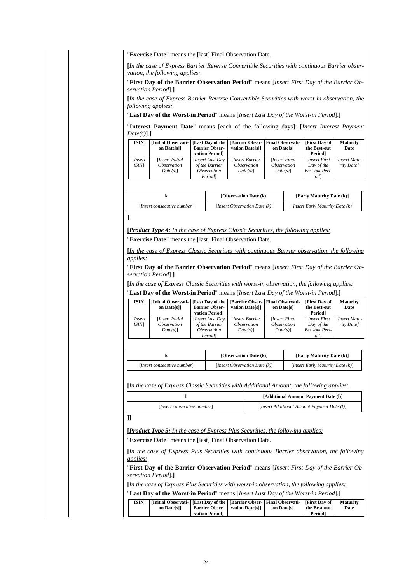"**Exercise Date**" means the [last] Final Observation Date.

**[***In the case of Express Barrier Reverse Convertible Securities with continuous Barrier observation, the following applies:*

"**First Day of the Barrier Observation Period**" means [*Insert First Day of the Barrier Observation Period*].**]**

**[***In the case of Express Barrier Reverse Convertible Securities with worst-in observation, the following applies:*

"**Last Day of the Worst-in Period**" means [*Insert Last Day of the Worst-in Period*].**]**

"**Interest Payment Date**" means [each of the following days]: [*Insert Interest Payment Date(s)*].**]**

| <b>ISIN</b>    | [Initial Observati-<br>on Datessil            | <b>Barrier Obser-</b><br>vation Period] | vation Datessil                                    | [Last Day of the   [Barrier Obser-   Final Observati-<br>on Datessl | [First Day of<br>the Best-out<br><b>Period</b> | <b>Maturity</b><br>Date           |
|----------------|-----------------------------------------------|-----------------------------------------|----------------------------------------------------|---------------------------------------------------------------------|------------------------------------------------|-----------------------------------|
| Insert<br>ISIM | [Insert Initial]<br><i><b>Observation</b></i> | [Insert Last Day<br>of the Barrier      | <i>Insert Barrier</i><br><i><b>Observation</b></i> | [Insert Final]<br><i><b>Observation</b></i>                         | [Insert First]<br>Day of the                   | <b>Insert Matu-</b><br>rity Date] |
|                | $Date(s)$ ]                                   | <i><b>Observation</b></i><br>Period     | $Date(s)$ ]                                        | $Date(s)$ ]                                                         | <b>Best-out Peri-</b><br>od                    |                                   |

|                             | [Observation Date (k)]           | [Early Maturity Date (k)]<br>[ <i>Insert Early Maturity Date (k)</i> ] |  |  |
|-----------------------------|----------------------------------|------------------------------------------------------------------------|--|--|
| [Insert consecutive number] | [Insert Observation Date $(k)$ ] |                                                                        |  |  |
|                             |                                  |                                                                        |  |  |

**[***Product Type 4: In the case of Express Classic Securities, the following applies:*

"**Exercise Date**" means the [last] Final Observation Date.

**[***In the case of Express Classic Securities with continuous Barrier observation, the following applies:*

"**First Day of the Barrier Observation Period**" means [*Insert First Day of the Barrier Observation Period*].**]**

**[***In the case of Express Classic Securities with worst-in observation, the following applies:*

"**Last Day of the Worst-in Period**" means [*Insert Last Day of the Worst-in Period*].**]**

| <b>ISIN</b>   | [Initial Observati-   [Last Day of the   [Barrier Obser-   Final Observati- |                           |                           |                           | [First Day of         | <b>Maturity</b>     |
|---------------|-----------------------------------------------------------------------------|---------------------------|---------------------------|---------------------------|-----------------------|---------------------|
|               | on Datessil                                                                 | <b>Barrier Obser-</b>     | vation Datessil           | on Datels                 | the Best-out          | Date                |
|               |                                                                             | vation Period]            |                           |                           | <b>Period</b>         |                     |
| <i>Insert</i> | [Insert Initial]                                                            | [Insert Last Day          | <b>Insert Barrier</b>     | [Insert Final]            | [Insert First]        | <b>Insert Matu-</b> |
| ISIM          | <i><b>Observation</b></i>                                                   | of the Barrier            | <i><b>Observation</b></i> | <i><b>Observation</b></i> | Day of the            | rity Date]          |
|               | $Date(s)$ ]                                                                 | <i><b>Observation</b></i> | $Date(s)$ ]               | $Date(s)$ ]               | <b>Best-out Peri-</b> |                     |
|               |                                                                             | Periodl                   |                           |                           | odl                   |                     |

|                             | [Observation Date (k)]           | [Early Maturity Date (k)]                 |  |  |
|-----------------------------|----------------------------------|-------------------------------------------|--|--|
| [Insert consecutive number] | [Insert Observation Date $(k)$ ] | [ <i>Insert Early Maturity Date (k)</i> ] |  |  |

**[***In the case of Express Classic Securities with Additional Amount, the following applies:*

| [Additional Amount Payment Date (1)]        |
|---------------------------------------------|
| [Insert Additional Amount Payment Date (l)] |
|                                             |

**]]**

**[***Product Type 5: In the case of Express Plus Securities, the following applies:* "**Exercise Date**" means the [last] Final Observation Date.

**[***In the case of Express Plus Securities with continuous Barrier observation, the following applies:*

"**First Day of the Barrier Observation Period**" means [*Insert First Day of the Barrier Observation Period*].**]**

**[***In the case of Express Plus Securities with worst-in observation, the following applies:*

"**Last Day of the Worst-in Period**" means [*Insert Last Day of the Worst-in Period*].**]**

| <b>ISIN</b> | [Initial Observati-   [Last Day of the   [Barrier Obser-   Final Observati-   [First Day of<br>on Datessil |                | <b>Barrier Obser-</b> vation Date[s]] | on Datelsl | the Best-out        | <b>Maturity</b><br>Date |
|-------------|------------------------------------------------------------------------------------------------------------|----------------|---------------------------------------|------------|---------------------|-------------------------|
|             |                                                                                                            | vation Period] |                                       |            | Period <sub>1</sub> |                         |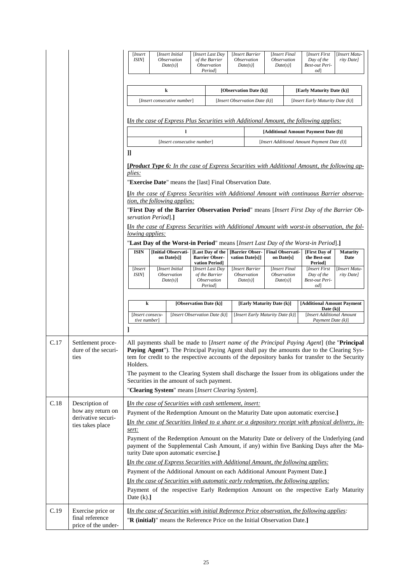|      |                                                                               | [Insert<br><i>ISIN</i> ]              |                                                                                                                                                                                                                                                                                                                                                                                                                                                                                                                       | [Insert Initial<br>Observation<br>$Date(s)$ ]                             | [Insert Last Day<br>of the Barrier<br><i><b>Observation</b></i><br>Period                   |                                                            |  | [Insert Barrier<br><i><b>Observation</b></i><br>$Date(s)$ ] | [Insert Final<br><i><b>Observation</b></i><br>$Date(s)$ ]                           |                                                               | [Insert First<br>Day of the<br>Best-out Peri-<br>od <sub>l</sub>                                                                                                                                  | [Insert Matu-<br>rity Date] |
|------|-------------------------------------------------------------------------------|---------------------------------------|-----------------------------------------------------------------------------------------------------------------------------------------------------------------------------------------------------------------------------------------------------------------------------------------------------------------------------------------------------------------------------------------------------------------------------------------------------------------------------------------------------------------------|---------------------------------------------------------------------------|---------------------------------------------------------------------------------------------|------------------------------------------------------------|--|-------------------------------------------------------------|-------------------------------------------------------------------------------------|---------------------------------------------------------------|---------------------------------------------------------------------------------------------------------------------------------------------------------------------------------------------------|-----------------------------|
|      |                                                                               | k<br>[Insert consecutive number]      |                                                                                                                                                                                                                                                                                                                                                                                                                                                                                                                       |                                                                           |                                                                                             | [Observation Date (k)]<br>[Insert Observation Date $(k)$ ] |  |                                                             |                                                                                     | [Early Maturity Date (k)]<br>[Insert Early Maturity Date (k)] |                                                                                                                                                                                                   |                             |
|      |                                                                               |                                       |                                                                                                                                                                                                                                                                                                                                                                                                                                                                                                                       |                                                                           |                                                                                             |                                                            |  |                                                             |                                                                                     |                                                               | [In the case of Express Plus Securities with Additional Amount, the following applies:                                                                                                            |                             |
|      |                                                                               |                                       | [Insert consecutive number]                                                                                                                                                                                                                                                                                                                                                                                                                                                                                           |                                                                           |                                                                                             |                                                            |  |                                                             | [Additional Amount Payment Date (1)]<br>[Insert Additional Amount Payment Date (l)] |                                                               |                                                                                                                                                                                                   |                             |
|      |                                                                               | IJ                                    |                                                                                                                                                                                                                                                                                                                                                                                                                                                                                                                       |                                                                           |                                                                                             |                                                            |  |                                                             |                                                                                     |                                                               |                                                                                                                                                                                                   |                             |
|      |                                                                               | plies:                                |                                                                                                                                                                                                                                                                                                                                                                                                                                                                                                                       | "Exercise Date" means the [last] Final Observation Date.                  |                                                                                             |                                                            |  |                                                             |                                                                                     |                                                               | <b>[Product Type 6:</b> In the case of Express Securities with Additional Amount, the following ap-<br>[In the case of Express Securities with Additional Amount with continuous Barrier observa- |                             |
|      |                                                                               |                                       |                                                                                                                                                                                                                                                                                                                                                                                                                                                                                                                       | tion, the following applies:                                              |                                                                                             |                                                            |  |                                                             |                                                                                     |                                                               | "First Day of the Barrier Observation Period" means [Insert First Day of the Barrier Ob-                                                                                                          |                             |
|      |                                                                               | servation Period.]<br>lowing applies: |                                                                                                                                                                                                                                                                                                                                                                                                                                                                                                                       |                                                                           |                                                                                             |                                                            |  |                                                             |                                                                                     |                                                               | [In the case of Express Securities with Additional Amount with worst-in observation, the fol-                                                                                                     |                             |
|      |                                                                               | <b>ISIN</b>                           |                                                                                                                                                                                                                                                                                                                                                                                                                                                                                                                       | <b>Initial Observati-</b><br>on Date[s]]                                  | [Last Day of the<br><b>Barrier Obser-</b>                                                   |                                                            |  | [Barrier Obser-<br>vation Date[s]]                          | <b>Final Observati-</b><br>on Date[s]                                               |                                                               | "Last Day of the Worst-in Period" means [Insert Last Day of the Worst-in Period].]<br>[First Day of<br>the Best-out                                                                               | <b>Maturity</b><br>Date     |
|      |                                                                               | [Insert]<br><i>ISIN</i>               |                                                                                                                                                                                                                                                                                                                                                                                                                                                                                                                       | [Insert Initial<br><i>Observation</i><br>$Date(s)$ ]                      | vation Period]<br>[Insert Last Day<br>of the Barrier<br><i><b>Observation</b></i><br>Period |                                                            |  | [Insert Barrier<br><i><b>Observation</b></i><br>$Date(s)$ ] | [Insert Final<br><i><b>Observation</b></i><br>$Date(s)$ ]                           |                                                               | Period <sub>1</sub><br>[Insert First<br>Day of the<br>Best-out Peri-<br>od <sub>l</sub>                                                                                                           | [Insert Matu-<br>rity Date] |
|      |                                                                               | k                                     |                                                                                                                                                                                                                                                                                                                                                                                                                                                                                                                       |                                                                           | [Observation Date (k)]                                                                      | [Early Maturity Date (k)]                                  |  |                                                             | [Additional Amount Payment<br>Date $(k)$ ]                                          |                                                               |                                                                                                                                                                                                   |                             |
|      |                                                                               | [Insert consecu-<br>tive number]      |                                                                                                                                                                                                                                                                                                                                                                                                                                                                                                                       | [Insert Observation Date (k)]                                             |                                                                                             |                                                            |  |                                                             | [ <i>Insert Early Maturity Date (k)</i> ]                                           |                                                               | [Insert Additional Amount<br>Payment Date (k)]                                                                                                                                                    |                             |
| C.17 | Settlement proce-<br>dure of the securi-<br>ues                               |                                       | All payments shall be made to <i>[Insert name of the Principal Paying Agent]</i> (the " <b>Principal</b><br>Paying Agent"). The Principal Paying Agent shall pay the amounts due to the Clearing Sys-<br>tem for credit to the respective accounts of the depository banks for transfer to the Security<br>Holders.<br>The payment to the Clearing System shall discharge the Issuer from its obligations under the<br>Securities in the amount of such payment.<br>"Clearing System" means [Insert Clearing System]. |                                                                           |                                                                                             |                                                            |  |                                                             |                                                                                     |                                                               |                                                                                                                                                                                                   |                             |
| C.18 | Description of<br>how any return on<br>derivative securi-<br>ties takes place | sert:                                 | [In the case of Securities with cash settlement, insert:<br>Payment of the Redemption Amount on the Maturity Date upon automatic exercise.]<br>$\Delta$ In the case of Securities linked to a share or a depository receipt with physical delivery, in-                                                                                                                                                                                                                                                               |                                                                           |                                                                                             |                                                            |  |                                                             |                                                                                     |                                                               |                                                                                                                                                                                                   |                             |
|      |                                                                               |                                       |                                                                                                                                                                                                                                                                                                                                                                                                                                                                                                                       | turity Date upon automatic exercise.]                                     |                                                                                             |                                                            |  |                                                             |                                                                                     |                                                               | Payment of the Redemption Amount on the Maturity Date or delivery of the Underlying (and<br>payment of the Supplemental Cash Amount, if any) within five Banking Days after the Ma-               |                             |
|      |                                                                               |                                       |                                                                                                                                                                                                                                                                                                                                                                                                                                                                                                                       |                                                                           |                                                                                             |                                                            |  |                                                             |                                                                                     |                                                               | [In the case of Express Securities with Additional Amount, the following applies:                                                                                                                 |                             |
|      |                                                                               |                                       | Payment of the Additional Amount on each Additional Amount Payment Date.]<br><i>In the case of Securities with automatic early redemption, the following applies:</i><br>Payment of the respective Early Redemption Amount on the respective Early Maturity<br>Date $(k)$ .]                                                                                                                                                                                                                                          |                                                                           |                                                                                             |                                                            |  |                                                             |                                                                                     |                                                               |                                                                                                                                                                                                   |                             |
| C.19 | Exercise price or<br>final reference<br>price of the under-                   |                                       |                                                                                                                                                                                                                                                                                                                                                                                                                                                                                                                       | "R (initial)" means the Reference Price on the Initial Observation Date.] |                                                                                             |                                                            |  |                                                             |                                                                                     |                                                               | [In the case of Securities with initial Reference Price observation, the following applies:                                                                                                       |                             |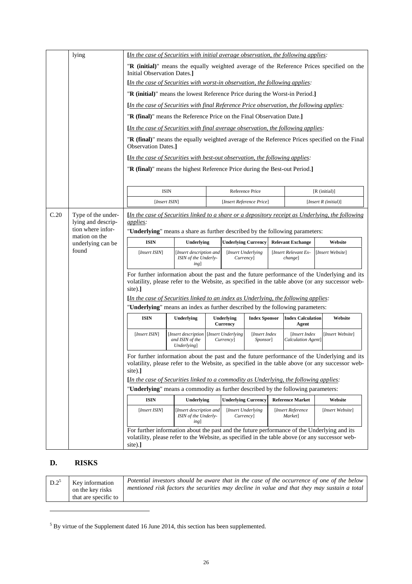|      | lying                                                                                     | [In the case of Securities with initial average observation, the following applies:                                                                                                                                                                                                              |                                                         |  |                                                   |                            |                                 |                                              |                                                                                                         |  |
|------|-------------------------------------------------------------------------------------------|--------------------------------------------------------------------------------------------------------------------------------------------------------------------------------------------------------------------------------------------------------------------------------------------------|---------------------------------------------------------|--|---------------------------------------------------|----------------------------|---------------------------------|----------------------------------------------|---------------------------------------------------------------------------------------------------------|--|
|      |                                                                                           | "R (initial)" means the equally weighted average of the Reference Prices specified on the<br>Initial Observation Dates.                                                                                                                                                                          |                                                         |  |                                                   |                            |                                 |                                              |                                                                                                         |  |
|      |                                                                                           | [In the case of Securities with worst-in observation, the following applies:                                                                                                                                                                                                                     |                                                         |  |                                                   |                            |                                 |                                              |                                                                                                         |  |
|      |                                                                                           | "R (initial)" means the lowest Reference Price during the Worst-in Period.]                                                                                                                                                                                                                      |                                                         |  |                                                   |                            |                                 |                                              |                                                                                                         |  |
|      | [In the case of Securities with final Reference Price observation, the following applies: |                                                                                                                                                                                                                                                                                                  |                                                         |  |                                                   |                            |                                 |                                              |                                                                                                         |  |
|      |                                                                                           | "R (final)" means the Reference Price on the Final Observation Date.]                                                                                                                                                                                                                            |                                                         |  |                                                   |                            |                                 |                                              |                                                                                                         |  |
|      |                                                                                           | [In the case of Securities with final average observation, the following applies:                                                                                                                                                                                                                |                                                         |  |                                                   |                            |                                 |                                              |                                                                                                         |  |
|      |                                                                                           | <b>Observation Dates.]</b>                                                                                                                                                                                                                                                                       |                                                         |  |                                                   |                            |                                 |                                              | "R (final)" means the equally weighted average of the Reference Prices specified on the Final           |  |
|      |                                                                                           | [In the case of Securities with best-out observation, the following applies:                                                                                                                                                                                                                     |                                                         |  |                                                   |                            |                                 |                                              |                                                                                                         |  |
|      |                                                                                           | "R (final)" means the highest Reference Price during the Best-out Period.]                                                                                                                                                                                                                       |                                                         |  |                                                   |                            |                                 |                                              |                                                                                                         |  |
|      |                                                                                           | <b>ISIN</b>                                                                                                                                                                                                                                                                                      |                                                         |  |                                                   | Reference Price            |                                 |                                              | $[R$ (initial)]                                                                                         |  |
|      |                                                                                           | [Insert ISIN]                                                                                                                                                                                                                                                                                    |                                                         |  |                                                   | [Insert Reference Price]   |                                 |                                              | [ <i>Insert R</i> ( <i>initial</i> )]                                                                   |  |
| C.20 |                                                                                           |                                                                                                                                                                                                                                                                                                  |                                                         |  |                                                   |                            |                                 |                                              | <i>In the case of Securities linked to a share or a depository receipt as Underlying, the following</i> |  |
|      | Type of the under-<br>lying and descrip-                                                  | applies:                                                                                                                                                                                                                                                                                         |                                                         |  |                                                   |                            |                                 |                                              |                                                                                                         |  |
|      | tion where infor-<br>mation on the<br>underlying can be<br>found                          | "Underlying" means a share as further described by the following parameters:                                                                                                                                                                                                                     |                                                         |  |                                                   |                            |                                 |                                              |                                                                                                         |  |
|      |                                                                                           | <b>ISIN</b>                                                                                                                                                                                                                                                                                      | Underlying                                              |  | <b>Underlying Currency</b>                        |                            |                                 | <b>Relevant Exchange</b>                     | Website                                                                                                 |  |
|      |                                                                                           | [Insert ISIN]                                                                                                                                                                                                                                                                                    | [Insert description and<br>ISIN of the Underly-<br>ing] |  | [Insert Underlying]<br><i>Currency</i> ]          |                            | [Insert Relevant Ex-<br>change] |                                              | [Insert Website]                                                                                        |  |
|      |                                                                                           | For further information about the past and the future performance of the Underlying and its<br>volatility, please refer to the Website, as specified in the table above (or any successor web-<br>site).]<br>[In the case of Securities linked to an index as Underlying, the following applies: |                                                         |  |                                                   |                            |                                 |                                              |                                                                                                         |  |
|      |                                                                                           | "Underlying" means an index as further described by the following parameters:                                                                                                                                                                                                                    |                                                         |  |                                                   |                            |                                 |                                              |                                                                                                         |  |
|      |                                                                                           | <b>ISIN</b>                                                                                                                                                                                                                                                                                      | Underlying                                              |  | Underlying<br><b>Currency</b>                     | <b>Index Sponsor</b>       |                                 | <b>Index Calculation</b><br>Agent            | Website                                                                                                 |  |
|      |                                                                                           | [Insert ISIN]                                                                                                                                                                                                                                                                                    | [Insert description<br>and ISIN of the<br>Underlying]   |  | [Insert Underlying<br>Currency]                   | [Insert Index]<br>Sponsor] |                                 | [Insert Index<br>Calculation Agent]          | [Insert Website]                                                                                        |  |
|      |                                                                                           | For further information about the past and the future performance of the Underlying and its<br>volatility, please refer to the Website, as specified in the table above (or any successor web-<br>$site).$ ]                                                                                     |                                                         |  |                                                   |                            |                                 |                                              |                                                                                                         |  |
|      |                                                                                           | [In the case of Securities linked to a commodity as Underlying, the following applies:                                                                                                                                                                                                           |                                                         |  |                                                   |                            |                                 |                                              |                                                                                                         |  |
|      |                                                                                           | "Underlying" means a commodity as further described by the following parameters:                                                                                                                                                                                                                 |                                                         |  |                                                   |                            |                                 |                                              |                                                                                                         |  |
|      |                                                                                           | <b>ISIN</b><br>[Insert ISIN]                                                                                                                                                                                                                                                                     | Underlying<br>[Insert description and                   |  | <b>Underlying Currency</b><br>[Insert Underlying] |                            |                                 | <b>Reference Market</b><br>[Insert Reference | Website<br>[Insert Website]                                                                             |  |
|      |                                                                                           |                                                                                                                                                                                                                                                                                                  | ISIN of the Underly-<br>ing]                            |  | <i>Currency</i> ]                                 |                            |                                 | Market]                                      |                                                                                                         |  |
|      |                                                                                           | For further information about the past and the future performance of the Underlying and its<br>site).]                                                                                                                                                                                           |                                                         |  |                                                   |                            |                                 |                                              | volatility, please refer to the Website, as specified in the table above (or any successor web-         |  |

## **D. RISKS**

| Potential investors should be aware that in the case of the occurrence of one of the below<br>$D.2^5$<br>Key information<br>mentioned risk factors the securities may decline in value and that they may sustain a total<br>on the key risks<br>that are specific to |  |
|----------------------------------------------------------------------------------------------------------------------------------------------------------------------------------------------------------------------------------------------------------------------|--|
|----------------------------------------------------------------------------------------------------------------------------------------------------------------------------------------------------------------------------------------------------------------------|--|

<span id="page-25-0"></span> $<sup>5</sup>$  By virtue of the Supplement dated 16 June 2014, this section has been supplemented.</sup>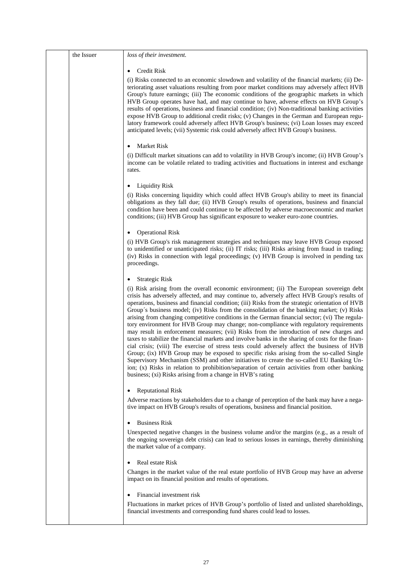| the Issuer | loss of their investment.                                                                                                                                                                                                                                                                                                                                                                                                                                                                                                                                                                                                                                                                                                                                                                                                                                                                                                                                                                                                                                                                                                                                                                                                                  |
|------------|--------------------------------------------------------------------------------------------------------------------------------------------------------------------------------------------------------------------------------------------------------------------------------------------------------------------------------------------------------------------------------------------------------------------------------------------------------------------------------------------------------------------------------------------------------------------------------------------------------------------------------------------------------------------------------------------------------------------------------------------------------------------------------------------------------------------------------------------------------------------------------------------------------------------------------------------------------------------------------------------------------------------------------------------------------------------------------------------------------------------------------------------------------------------------------------------------------------------------------------------|
|            | Credit Risk                                                                                                                                                                                                                                                                                                                                                                                                                                                                                                                                                                                                                                                                                                                                                                                                                                                                                                                                                                                                                                                                                                                                                                                                                                |
|            | (i) Risks connected to an economic slowdown and volatility of the financial markets; (ii) De-<br>teriorating asset valuations resulting from poor market conditions may adversely affect HVB<br>Group's future earnings; (iii) The economic conditions of the geographic markets in which<br>HVB Group operates have had, and may continue to have, adverse effects on HVB Group's<br>results of operations, business and financial condition; (iv) Non-traditional banking activities<br>expose HVB Group to additional credit risks; (v) Changes in the German and European regu-<br>latory framework could adversely affect HVB Group's business; (vi) Loan losses may exceed<br>anticipated levels; (vii) Systemic risk could adversely affect HVB Group's business.                                                                                                                                                                                                                                                                                                                                                                                                                                                                   |
|            | <b>Market Risk</b>                                                                                                                                                                                                                                                                                                                                                                                                                                                                                                                                                                                                                                                                                                                                                                                                                                                                                                                                                                                                                                                                                                                                                                                                                         |
|            | (i) Difficult market situations can add to volatility in HVB Group's income; (ii) HVB Group's<br>income can be volatile related to trading activities and fluctuations in interest and exchange<br>rates.                                                                                                                                                                                                                                                                                                                                                                                                                                                                                                                                                                                                                                                                                                                                                                                                                                                                                                                                                                                                                                  |
|            | <b>Liquidity Risk</b>                                                                                                                                                                                                                                                                                                                                                                                                                                                                                                                                                                                                                                                                                                                                                                                                                                                                                                                                                                                                                                                                                                                                                                                                                      |
|            | (i) Risks concerning liquidity which could affect HVB Group's ability to meet its financial<br>obligations as they fall due; (ii) HVB Group's results of operations, business and financial<br>condition have been and could continue to be affected by adverse macroeconomic and market<br>conditions; (iii) HVB Group has significant exposure to weaker euro-zone countries.                                                                                                                                                                                                                                                                                                                                                                                                                                                                                                                                                                                                                                                                                                                                                                                                                                                            |
|            | <b>Operational Risk</b>                                                                                                                                                                                                                                                                                                                                                                                                                                                                                                                                                                                                                                                                                                                                                                                                                                                                                                                                                                                                                                                                                                                                                                                                                    |
|            | (i) HVB Group's risk management strategies and techniques may leave HVB Group exposed<br>to unidentified or unanticipated risks; (ii) IT risks; (iii) Risks arising from fraud in trading;<br>(iv) Risks in connection with legal proceedings; (v) HVB Group is involved in pending tax<br>proceedings.                                                                                                                                                                                                                                                                                                                                                                                                                                                                                                                                                                                                                                                                                                                                                                                                                                                                                                                                    |
|            | <b>Strategic Risk</b>                                                                                                                                                                                                                                                                                                                                                                                                                                                                                                                                                                                                                                                                                                                                                                                                                                                                                                                                                                                                                                                                                                                                                                                                                      |
|            | (i) Risk arising from the overall economic environment; (ii) The European sovereign debt<br>crisis has adversely affected, and may continue to, adversely affect HVB Group's results of<br>operations, business and financial condition; (iii) Risks from the strategic orientation of HVB<br>Group's business model; (iv) Risks from the consolidation of the banking market; (v) Risks<br>arising from changing competitive conditions in the German financial sector; (vi) The regula-<br>tory environment for HVB Group may change; non-compliance with regulatory requirements<br>may result in enforcement measures; (vii) Risks from the introduction of new charges and<br>taxes to stabilize the financial markets and involve banks in the sharing of costs for the finan-<br>cial crisis; (viii) The exercise of stress tests could adversely affect the business of HVB<br>Group; (ix) HVB Group may be exposed to specific risks arising from the so-called Single<br>Supervisory Mechanism (SSM) and other initiatives to create the so-called EU Banking Un-<br>ion; (x) Risks in relation to prohibition/separation of certain activities from other banking<br>business; (xi) Risks arising from a change in HVB's rating |
|            | <b>Reputational Risk</b><br>$\bullet$                                                                                                                                                                                                                                                                                                                                                                                                                                                                                                                                                                                                                                                                                                                                                                                                                                                                                                                                                                                                                                                                                                                                                                                                      |
|            | Adverse reactions by stakeholders due to a change of perception of the bank may have a nega-<br>tive impact on HVB Group's results of operations, business and financial position.                                                                                                                                                                                                                                                                                                                                                                                                                                                                                                                                                                                                                                                                                                                                                                                                                                                                                                                                                                                                                                                         |
|            | <b>Business Risk</b><br>$\bullet$                                                                                                                                                                                                                                                                                                                                                                                                                                                                                                                                                                                                                                                                                                                                                                                                                                                                                                                                                                                                                                                                                                                                                                                                          |
|            | Unexpected negative changes in the business volume and/or the margins (e.g., as a result of<br>the ongoing sovereign debt crisis) can lead to serious losses in earnings, thereby diminishing<br>the market value of a company.                                                                                                                                                                                                                                                                                                                                                                                                                                                                                                                                                                                                                                                                                                                                                                                                                                                                                                                                                                                                            |
|            | Real estate Risk                                                                                                                                                                                                                                                                                                                                                                                                                                                                                                                                                                                                                                                                                                                                                                                                                                                                                                                                                                                                                                                                                                                                                                                                                           |
|            | Changes in the market value of the real estate portfolio of HVB Group may have an adverse<br>impact on its financial position and results of operations.                                                                                                                                                                                                                                                                                                                                                                                                                                                                                                                                                                                                                                                                                                                                                                                                                                                                                                                                                                                                                                                                                   |
|            | Financial investment risk                                                                                                                                                                                                                                                                                                                                                                                                                                                                                                                                                                                                                                                                                                                                                                                                                                                                                                                                                                                                                                                                                                                                                                                                                  |
|            | Fluctuations in market prices of HVB Group's portfolio of listed and unlisted shareholdings,<br>financial investments and corresponding fund shares could lead to losses.                                                                                                                                                                                                                                                                                                                                                                                                                                                                                                                                                                                                                                                                                                                                                                                                                                                                                                                                                                                                                                                                  |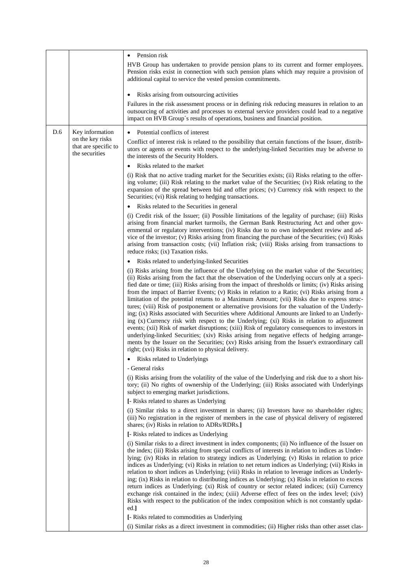|     |                                                            | Pension risk                                                                                                                                                                                                                                                                                                                                                                                                                                                                                                                                                                                                                                                                                                                                                                                                                                                                                                                                                                                                                                                                                                                                                         |
|-----|------------------------------------------------------------|----------------------------------------------------------------------------------------------------------------------------------------------------------------------------------------------------------------------------------------------------------------------------------------------------------------------------------------------------------------------------------------------------------------------------------------------------------------------------------------------------------------------------------------------------------------------------------------------------------------------------------------------------------------------------------------------------------------------------------------------------------------------------------------------------------------------------------------------------------------------------------------------------------------------------------------------------------------------------------------------------------------------------------------------------------------------------------------------------------------------------------------------------------------------|
|     |                                                            | HVB Group has undertaken to provide pension plans to its current and former employees.<br>Pension risks exist in connection with such pension plans which may require a provision of<br>additional capital to service the vested pension commitments.                                                                                                                                                                                                                                                                                                                                                                                                                                                                                                                                                                                                                                                                                                                                                                                                                                                                                                                |
|     |                                                            | Risks arising from outsourcing activities<br>$\bullet$                                                                                                                                                                                                                                                                                                                                                                                                                                                                                                                                                                                                                                                                                                                                                                                                                                                                                                                                                                                                                                                                                                               |
|     |                                                            | Failures in the risk assessment process or in defining risk reducing measures in relation to an<br>outsourcing of activities and processes to external service providers could lead to a negative<br>impact on HVB Group's results of operations, business and financial position.                                                                                                                                                                                                                                                                                                                                                                                                                                                                                                                                                                                                                                                                                                                                                                                                                                                                                   |
| D.6 | Key information                                            | Potential conflicts of interest<br>$\bullet$                                                                                                                                                                                                                                                                                                                                                                                                                                                                                                                                                                                                                                                                                                                                                                                                                                                                                                                                                                                                                                                                                                                         |
|     | on the key risks<br>that are specific to<br>the securities | Conflict of interest risk is related to the possibility that certain functions of the Issuer, distrib-<br>utors or agents or events with respect to the underlying-linked Securities may be adverse to<br>the interests of the Security Holders.                                                                                                                                                                                                                                                                                                                                                                                                                                                                                                                                                                                                                                                                                                                                                                                                                                                                                                                     |
|     |                                                            | Risks related to the market                                                                                                                                                                                                                                                                                                                                                                                                                                                                                                                                                                                                                                                                                                                                                                                                                                                                                                                                                                                                                                                                                                                                          |
|     |                                                            | (i) Risk that no active trading market for the Securities exists; (ii) Risks relating to the offer-<br>ing volume; (iii) Risk relating to the market value of the Securities; (iv) Risk relating to the<br>expansion of the spread between bid and offer prices; (v) Currency risk with respect to the<br>Securities; (vi) Risk relating to hedging transactions.                                                                                                                                                                                                                                                                                                                                                                                                                                                                                                                                                                                                                                                                                                                                                                                                    |
|     |                                                            | Risks related to the Securities in general                                                                                                                                                                                                                                                                                                                                                                                                                                                                                                                                                                                                                                                                                                                                                                                                                                                                                                                                                                                                                                                                                                                           |
|     |                                                            | (i) Credit risk of the Issuer; (ii) Possible limitations of the legality of purchase; (iii) Risks<br>arising from financial market turmoils, the German Bank Restructuring Act and other gov-<br>ernmental or regulatory interventions; (iv) Risks due to no own independent review and ad-<br>vice of the investor; (v) Risks arising from financing the purchase of the Securities; (vi) Risks<br>arising from transaction costs; (vii) Inflation risk; (viii) Risks arising from transactions to<br>reduce risks; (ix) Taxation risks.                                                                                                                                                                                                                                                                                                                                                                                                                                                                                                                                                                                                                            |
|     |                                                            | Risks related to underlying-linked Securities<br>$\bullet$                                                                                                                                                                                                                                                                                                                                                                                                                                                                                                                                                                                                                                                                                                                                                                                                                                                                                                                                                                                                                                                                                                           |
|     |                                                            | (i) Risks arising from the influence of the Underlying on the market value of the Securities;<br>(ii) Risks arising from the fact that the observation of the Underlying occurs only at a speci-<br>fied date or time; (iii) Risks arising from the impact of thresholds or limits; (iv) Risks arising<br>from the impact of Barrier Events; (v) Risks in relation to a Ratio; (vi) Risks arising from a<br>limitation of the potential returns to a Maximum Amount; (vii) Risks due to express struc-<br>tures; (viii) Risk of postponement or alternative provisions for the valuation of the Underly-<br>ing; (ix) Risks associated with Securities where Additional Amounts are linked to an Underly-<br>ing (x) Currency risk with respect to the Underlying; (xi) Risks in relation to adjustment<br>events; (xii) Risk of market disruptions; (xiii) Risk of regulatory consequences to investors in<br>underlying-linked Securities; (xiv) Risks arising from negative effects of hedging arrange-<br>ments by the Issuer on the Securities; (xv) Risks arising from the Issuer's extraordinary call<br>right; (xvi) Risks in relation to physical delivery. |
|     |                                                            | Risks related to Underlyings                                                                                                                                                                                                                                                                                                                                                                                                                                                                                                                                                                                                                                                                                                                                                                                                                                                                                                                                                                                                                                                                                                                                         |
|     |                                                            | - General risks<br>(i) Risks arising from the volatility of the value of the Underlying and risk due to a short his-<br>tory; (ii) No rights of ownership of the Underlying; (iii) Risks associated with Underlyings<br>subject to emerging market jurisdictions.                                                                                                                                                                                                                                                                                                                                                                                                                                                                                                                                                                                                                                                                                                                                                                                                                                                                                                    |
|     |                                                            | [- Risks related to shares as Underlying                                                                                                                                                                                                                                                                                                                                                                                                                                                                                                                                                                                                                                                                                                                                                                                                                                                                                                                                                                                                                                                                                                                             |
|     |                                                            | (i) Similar risks to a direct investment in shares; (ii) Investors have no shareholder rights;<br>(iii) No registration in the register of members in the case of physical delivery of registered<br>shares; (iv) Risks in relation to ADRs/RDRs.]                                                                                                                                                                                                                                                                                                                                                                                                                                                                                                                                                                                                                                                                                                                                                                                                                                                                                                                   |
|     |                                                            | [- Risks related to indices as Underlying                                                                                                                                                                                                                                                                                                                                                                                                                                                                                                                                                                                                                                                                                                                                                                                                                                                                                                                                                                                                                                                                                                                            |
|     |                                                            | (i) Similar risks to a direct investment in index components; (ii) No influence of the Issuer on<br>the index; (iii) Risks arising from special conflicts of interests in relation to indices as Under-<br>lying; (iv) Risks in relation to strategy indices as Underlying; (v) Risks in relation to price<br>indices as Underlying; (vi) Risks in relation to net return indices as Underlying; (vii) Risks in<br>relation to short indices as Underlying; (viii) Risks in relation to leverage indices as Underly-<br>ing; (ix) Risks in relation to distributing indices as Underlying; (x) Risks in relation to excess<br>return indices as Underlying; (xi) Risk of country or sector related indices; (xii) Currency<br>exchange risk contained in the index; (xiii) Adverse effect of fees on the index level; (xiv)<br>Risks with respect to the publication of the index composition which is not constantly updat-<br>ed.                                                                                                                                                                                                                                  |
|     |                                                            | [- Risks related to commodities as Underlying                                                                                                                                                                                                                                                                                                                                                                                                                                                                                                                                                                                                                                                                                                                                                                                                                                                                                                                                                                                                                                                                                                                        |
|     |                                                            | (i) Similar risks as a direct investment in commodities; (ii) Higher risks than other asset clas-                                                                                                                                                                                                                                                                                                                                                                                                                                                                                                                                                                                                                                                                                                                                                                                                                                                                                                                                                                                                                                                                    |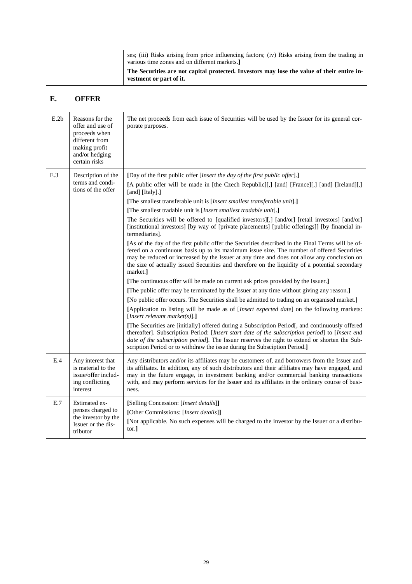| ses; (iii) Risks arising from price influencing factors; (iv) Risks arising from the trading in<br>various time zones and on different markets. |
|-------------------------------------------------------------------------------------------------------------------------------------------------|
| The Securities are not capital protected. Investors may lose the value of their entire in-<br>vestment or part of it.                           |

## **E. OFFER**

| E.2b | Reasons for the<br>offer and use of<br>proceeds when<br>different from<br>making profit<br>and/or hedging<br>certain risks | The net proceeds from each issue of Securities will be used by the Issuer for its general cor-<br>porate purposes.                                                                                                                                                                                                                                                                                         |
|------|----------------------------------------------------------------------------------------------------------------------------|------------------------------------------------------------------------------------------------------------------------------------------------------------------------------------------------------------------------------------------------------------------------------------------------------------------------------------------------------------------------------------------------------------|
| E.3  | Description of the<br>terms and condi-<br>tions of the offer                                                               | [Day of the first public offer [Insert the day of the first public offer].]<br>[A public offer will be made in [the Czech Republic][,] [and] [France][,] [and] [Ireland][,]                                                                                                                                                                                                                                |
|      |                                                                                                                            | [and] [Italy].]                                                                                                                                                                                                                                                                                                                                                                                            |
|      |                                                                                                                            | [The smallest transferable unit is [Insert smallest transferable unit].]                                                                                                                                                                                                                                                                                                                                   |
|      |                                                                                                                            | [The smallest tradable unit is [Insert smallest tradable unit].]                                                                                                                                                                                                                                                                                                                                           |
|      |                                                                                                                            | The Securities will be offered to [qualified investors][,] [and/or] [retail investors] [and/or]<br>[institutional investors] [by way of [private placements] [public offerings]] [by financial in-<br>termediaries].                                                                                                                                                                                       |
|      |                                                                                                                            | [As of the day of the first public offer the Securities described in the Final Terms will be of-<br>fered on a continuous basis up to its maximum issue size. The number of offered Securities<br>may be reduced or increased by the Issuer at any time and does not allow any conclusion on<br>the size of actually issued Securities and therefore on the liquidity of a potential secondary<br>market.1 |
|      |                                                                                                                            | [The continuous offer will be made on current ask prices provided by the Issuer.]                                                                                                                                                                                                                                                                                                                          |
|      |                                                                                                                            | [The public offer may be terminated by the Issuer at any time without giving any reason.]                                                                                                                                                                                                                                                                                                                  |
|      |                                                                                                                            | [No public offer occurs. The Securities shall be admitted to trading on an organised market.]                                                                                                                                                                                                                                                                                                              |
|      |                                                                                                                            | [Application to listing will be made as of [Insert expected date] on the following markets:<br>[ <i>Insert relevant market(s)</i> ].]                                                                                                                                                                                                                                                                      |
|      |                                                                                                                            | [The Securities are [initially] offered during a Subscription Period[, and continuously offered<br>thereafter]. Subscription Period: [Insert start date of the subscription period] to [Insert end<br>date of the subscription period]. The Issuer reserves the right to extend or shorten the Sub-<br>scription Period or to withdraw the issue during the Subsciption Period.]                           |
| E.4  | Any interest that<br>is material to the<br>issue/offer includ-<br>ing conflicting<br>interest                              | Any distributors and/or its affiliates may be customers of, and borrowers from the Issuer and<br>its affiliates. In addition, any of such distributors and their affiliates may have engaged, and<br>may in the future engage, in investment banking and/or commercial banking transactions<br>with, and may perform services for the Issuer and its affiliates in the ordinary course of busi-<br>ness.   |
| E.7  | Estimated ex-<br>penses charged to<br>the investor by the<br>Issuer or the dis-<br>tributor                                | [Selling Concession: [Insert details]]<br>[Other Commissions: [Insert details]]<br>[Not applicable. No such expenses will be charged to the investor by the Issuer or a distribu-<br>tor.]                                                                                                                                                                                                                 |